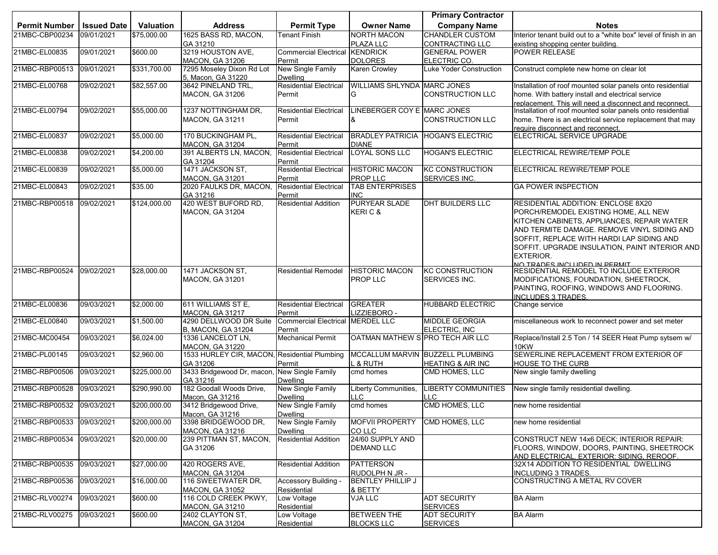|                      |                    |                  |                                                     |                                         |                                          | <b>Primary Contractor</b>               |                                                                                                                                                                                                                                                                                                                            |
|----------------------|--------------------|------------------|-----------------------------------------------------|-----------------------------------------|------------------------------------------|-----------------------------------------|----------------------------------------------------------------------------------------------------------------------------------------------------------------------------------------------------------------------------------------------------------------------------------------------------------------------------|
| <b>Permit Number</b> | <b>Issued Date</b> | <b>Valuation</b> | <b>Address</b>                                      | <b>Permit Type</b>                      | <b>Owner Name</b>                        | <b>Company Name</b>                     | <b>Notes</b>                                                                                                                                                                                                                                                                                                               |
| 21MBC-CBP00234       | 09/01/2021         | \$75,000.00      | 1625 BASS RD, MACON,                                | <b>Tenant Finish</b>                    | <b>NORTH MACON</b>                       | <b>CHANDLER CUSTOM</b>                  | Interior tenant build out to a "white box" level of finish in an                                                                                                                                                                                                                                                           |
|                      |                    |                  | GA 31210                                            |                                         | <b>PLAZA LLC</b>                         | <b>CONTRACTING LLC</b>                  | existing shopping center building.                                                                                                                                                                                                                                                                                         |
| 21MBC-EL00835        | 09/01/2021         | \$600.00         | 3219 HOUSTON AVE,                                   | <b>Commercial Electrical</b>            | <b>KENDRICK</b>                          | <b>GENERAL POWER</b>                    | <b>POWER RELEASE</b>                                                                                                                                                                                                                                                                                                       |
|                      |                    |                  | <b>MACON, GA 31206</b>                              | Permit                                  | <b>DOLORES</b>                           | ELECTRIC CO.                            |                                                                                                                                                                                                                                                                                                                            |
| 21MBC-RBP00513       | 09/01/2021         | \$331,700.00     | 7295 Moseley Dixon Rd Lot<br>5, Macon, GA 31220     | New Single Family<br><b>Dwelling</b>    | Karen Crowley                            | Luke Yoder Construction                 | Construct complete new home on clear lot                                                                                                                                                                                                                                                                                   |
| 21MBC-EL00768        | 09/02/2021         | \$82,557.00      | 3642 PINELAND TRL,                                  | <b>Residential Electrical</b>           | <b>WILLIAMS SHLYNDA</b>                  | <b>MARC JONES</b>                       | Installation of roof mounted solar panels onto residential                                                                                                                                                                                                                                                                 |
|                      |                    |                  | <b>MACON, GA 31206</b>                              | Permit                                  | G                                        | <b>CONSTRUCTION LLC</b>                 | home. With battery install and electrical service<br>replacement. This will need a disconnect and reconnect.                                                                                                                                                                                                               |
| 21MBC-EL00794        | 09/02/2021         | \$55,000.00      | 1237 NOTTINGHAM DR.                                 | <b>Residential Electrical</b>           | LINEBERGER COY E MARC JONES              |                                         | Installation of roof mounted solar panels onto residential                                                                                                                                                                                                                                                                 |
|                      |                    |                  | <b>MACON, GA 31211</b>                              | Permit                                  | &                                        | <b>CONSTRUCTION LLC</b>                 | home. There is an electrical service replacement that may<br>require disconnect and reconnect.                                                                                                                                                                                                                             |
| 21MBC-EL00837        | 09/02/2021         | \$5,000.00       | 170 BUCKINGHAM PL,<br><b>MACON, GA 31204</b>        | <b>Residential Electrical</b><br>Permit | <b>BRADLEY PATRICIA</b><br><b>DIANE</b>  | <b>HOGAN'S ELECTRIC</b>                 | ELECTRICAL SERVICE UPGRADE                                                                                                                                                                                                                                                                                                 |
| 21MBC-EL00838        | 09/02/2021         | \$4,200.00       | 391 ALBERTS LN, MACON,<br>GA 31204                  | <b>Residential Electrical</b><br>Permit | <b>LOYAL SONS LLC</b>                    | <b>HOGAN'S ELECTRIC</b>                 | ELECTRICAL REWIRE/TEMP POLE                                                                                                                                                                                                                                                                                                |
| 21MBC-EL00839        | 09/02/2021         | \$5,000.00       | 1471 JACKSON ST,<br><b>MACON, GA 31201</b>          | <b>Residential Electrical</b><br>Permit | <b>HISTORIC MACON</b><br><b>PROP LLC</b> | <b>KC CONSTRUCTION</b><br>SERVICES INC. | ELECTRICAL REWIRE/TEMP POLE                                                                                                                                                                                                                                                                                                |
| 21MBC-EL00843        | 09/02/2021         | \$35.00          | 2020 FAULKS DR, MACON,                              | <b>Residential Electrical</b>           | <b>TAB ENTERPRISES</b>                   |                                         | <b>GA POWER INSPECTION</b>                                                                                                                                                                                                                                                                                                 |
|                      |                    |                  | GA 31216                                            | Permit                                  | <b>INC</b>                               |                                         |                                                                                                                                                                                                                                                                                                                            |
| 21MBC-RBP00518       | 09/02/2021         | \$124,000.00     | 420 WEST BUFORD RD,<br><b>MACON, GA 31204</b>       | <b>Residential Addition</b>             | <b>PURYEAR SLADE</b><br>KERIC&           | DHT BUILDERS LLC                        | RESIDENTIAL ADDITION: ENCLOSE 8X20<br>PORCH/REMODEL EXISTING HOME, ALL NEW<br>KITCHEN CABINETS, APPLIANCES, REPAIR WATER<br>AND TERMITE DAMAGE. REMOVE VINYL SIDING AND<br>SOFFIT, REPLACE WITH HARDI LAP SIDING AND<br>SOFFIT. UPGRADE INSULATION, PAINT INTERIOR AND<br><b>EXTERIOR.</b><br>NO TRADES INCLUDED IN PERMIT |
| 21MBC-RBP00524       | 09/02/2021         | \$28,000.00      | 1471 JACKSON ST,<br><b>MACON, GA 31201</b>          | <b>Residential Remodel</b>              | <b>HISTORIC MACON</b><br><b>PROP LLC</b> | <b>KC CONSTRUCTION</b><br>SERVICES INC. | RESIDENTIAL REMODEL TO INCLUDE EXTERIOR<br>MODIFICATIONS, FOUNDATION, SHEETROCK,<br>PAINTING, ROOFING, WINDOWS AND FLOORING.<br>INCLUDES 3 TRADES.                                                                                                                                                                         |
| 21MBC-EL00836        | 09/03/2021         | \$2,000.00       | 611 WILLIAMS ST E,<br><b>MACON, GA 31217</b>        | <b>Residential Electrical</b><br>Permit | <b>GREATER</b><br>LIZZIEBORO -           | <b>HUBBARD ELECTRIC</b>                 | Change service                                                                                                                                                                                                                                                                                                             |
| 21MBC-EL00840        | 09/03/2021         | \$1,500.00       | 4290 DELLWOOD DR Suite<br><b>B, MACON, GA 31204</b> | <b>Commercial Electrical</b><br>Permit  | <b>MERDEL LLC</b>                        | <b>MIDDLE GEORGIA</b><br>ELECTRIC, INC. | miscellaneous work to reconnect power and set meter                                                                                                                                                                                                                                                                        |
| 21MBC-MC00454        | 09/03/2021         | \$6,024.00       | 1336 LANCELOT LN,<br><b>MACON, GA 31220</b>         | <b>Mechanical Permit</b>                | OATMAN MATHEW S PRO TECH AIR LLC         |                                         | Replace/Install 2.5 Ton / 14 SEER Heat Pump sytsem w/<br>10KW                                                                                                                                                                                                                                                              |
| 21MBC-PL00145        | 09/03/2021         | \$2,960.00       | 1533 HURLEY CIR, MACON, Residential Plumbing        |                                         |                                          | MCCALLUM MARVIN BUZZELL PLUMBING        | SEWERLINE REPLACEMENT FROM EXTERIOR OF                                                                                                                                                                                                                                                                                     |
|                      |                    |                  | GA 31206                                            | Permit                                  | L & RUTH                                 | <b>HEATING &amp; AIR INC</b>            | HOUSE TO THE CURB                                                                                                                                                                                                                                                                                                          |
| 21MBC-RBP00506       | 09/03/2021         | \$225,000.00     | 3433 Bridgewood Dr, macon<br>GA 31216               | New Single Family<br><b>Dwelling</b>    | cmd homes                                | CMD HOMES, LLC                          | New single family dwelling                                                                                                                                                                                                                                                                                                 |
| 21MBC-RBP00528       | 09/03/2021         | \$290,990.00     | 182 Goodall Woods Drive,<br>Macon, GA 31216         | New Single Family<br><b>Dwelling</b>    | Liberty Communities,<br><b>LLC</b>       | <b>LIBERTY COMMUNITIES</b><br>LLC       | New single family residential dwelling.                                                                                                                                                                                                                                                                                    |
| 21MBC-RBP00532       | 09/03/2021         | \$200,000.00     | 3412 Bridgewood Drive,<br>Macon, GA 31216           | New Single Family<br><b>Dwelling</b>    | cmd homes                                | CMD HOMES, LLC                          | new home residential                                                                                                                                                                                                                                                                                                       |
| 21MBC-RBP00533       | 09/03/2021         | \$200,000.00     | 3398 BRIDGEWOOD DR,<br><b>MACON, GA 31216</b>       | New Single Family<br><b>Dwelling</b>    | <b>MOFVII PROPERTY</b><br>CO LLC         | <b>CMD HOMES, LLC</b>                   | new home residential                                                                                                                                                                                                                                                                                                       |
| 21MBC-RBP00534       | 09/03/2021         | \$20,000.00      | 239 PITTMAN ST, MACON,<br>GA 31206                  | <b>Residential Addition</b>             | 24/60 SUPPLY AND<br><b>DEMAND LLC</b>    |                                         | CONSTRUCT NEW 14x6 DECK; INTERIOR REPAIR:<br>FLOORS, WINDOW, DOORS, PAINTING, SHEETROCK<br>AND ELECTRICAL. EXTERIOR: SIDING. REROOF.                                                                                                                                                                                       |
| 21MBC-RBP00535       | 09/03/2021         | \$27,000.00      | 420 ROGERS AVE,<br><b>MACON, GA 31204</b>           | <b>Residential Addition</b>             | <b>PATTERSON</b><br>RUDOLPH N JR -       |                                         | 32X14 ADDITION TO RESIDENTIAL DWELLING<br>INCLUDING 3 TRADES.                                                                                                                                                                                                                                                              |
| 21MBC-RBP00536       | 09/03/2021         | \$16,000.00      | 116 SWEETWATER DR,<br><b>MACON, GA 31052</b>        | Accessory Building -<br>Residential     | <b>BENTLEY PHILLIP J</b><br>& BETTY      |                                         | CONSTRUCTING A METAL RV COVER                                                                                                                                                                                                                                                                                              |
| 21MBC-RLV00274       | 09/03/2021         | \$600.00         | 116 COLD CREEK PKWY,<br><b>MACON, GA 31210</b>      | Low Voltage<br>Residential              | <b>VJA LLC</b>                           | <b>ADT SECURITY</b><br><b>SERVICES</b>  | <b>BA Alarm</b>                                                                                                                                                                                                                                                                                                            |
| 21MBC-RLV00275       | 09/03/2021         | \$600.00         | 2402 CLAYTON ST.                                    | Low Voltage                             | <b>BETWEEN THE</b>                       | <b>ADT SECURITY</b>                     | <b>BA Alarm</b>                                                                                                                                                                                                                                                                                                            |
|                      |                    |                  | <b>MACON, GA 31204</b>                              | Residential                             | <b>BLOCKS LLC</b>                        | <b>SERVICES</b>                         |                                                                                                                                                                                                                                                                                                                            |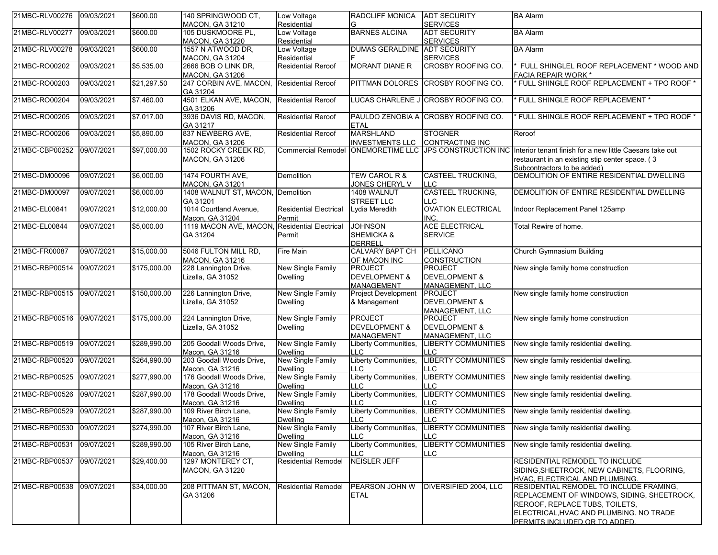| 21MBC-RLV00276 | 09/03/2021 | \$600.00     | 140 SPRINGWOOD CT.                            | Low Voltage                          | <b>RADCLIFF MONICA</b>             | <b>ADT SECURITY</b>                  | <b>BA Alarm</b>                                                          |
|----------------|------------|--------------|-----------------------------------------------|--------------------------------------|------------------------------------|--------------------------------------|--------------------------------------------------------------------------|
|                |            |              | <b>MACON, GA 31210</b>                        | Residential                          | G                                  | <b>SERVICES</b>                      |                                                                          |
| 21MBC-RLV00277 | 09/03/2021 | \$600.00     | 105 DUSKMOORE PL,                             | Low Voltage                          | <b>BARNES ALCINA</b>               | <b>ADT SECURITY</b>                  | <b>BA Alarm</b>                                                          |
|                |            |              | <b>MACON, GA 31220</b>                        | Residential                          |                                    | <b>SERVICES</b>                      |                                                                          |
| 21MBC-RLV00278 | 09/03/2021 | \$600.00     | 1557 N ATWOOD DR,                             | Low Voltage                          | DUMAS GERALDINE ADT SECURITY       |                                      | <b>BA Alarm</b>                                                          |
|                |            |              | <b>MACON, GA 31204</b>                        | Residential                          |                                    | <b>SERVICES</b>                      |                                                                          |
| 21MBC-RO00202  | 09/03/2021 | \$5,535.00   | 2666 BOB O LINK DR.<br><b>MACON, GA 31206</b> | <b>Residential Reroof</b>            | <b>MORANT DIANE R</b>              | CROSBY ROOFING CO.                   | FULL SHINGLEL ROOF REPLACEMENT * WOOD AND<br><b>FACIA REPAIR WORK*</b>   |
| 21MBC-RO00203  | 09/03/2021 | \$21,297.50  | 247 CORBIN AVE, MACON,                        | <b>Residential Reroof</b>            | PITTMAN DOLORES                    | CROSBY ROOFING CO.                   | FULL SHINGLE ROOF REPLACEMENT + TPO ROOF *                               |
|                |            |              | GA 31204                                      |                                      |                                    |                                      |                                                                          |
| 21MBC-RO00204  | 09/03/2021 | \$7,460.00   | 4501 ELKAN AVE, MACON,<br>GA 31206            | <b>Residential Reroof</b>            |                                    | LUCAS CHARLENE J CROSBY ROOFING CO.  | FULL SHINGLE ROOF REPLACEMENT *                                          |
| 21MBC-RO00205  | 09/03/2021 | \$7,017.00   | 3936 DAVIS RD, MACON,                         | <b>Residential Reroof</b>            |                                    | PAULDO ZENOBIA A CROSBY ROOFING CO.  | FULL SHINGLE ROOF REPLACEMENT + TPO ROOF *                               |
|                |            |              | GA 31217                                      |                                      | <b>ETAL</b>                        |                                      |                                                                          |
| 21MBC-RO00206  | 09/03/2021 | \$5,890.00   | 837 NEWBERG AVE,                              | Residential Reroof                   | <b>MARSHLAND</b>                   | <b>STOGNER</b>                       | Reroof                                                                   |
|                |            |              | MACON, GA 31206                               |                                      | <b>INVESTMENTS LLC</b>             | <b>CONTRACTING INC</b>               |                                                                          |
| 21MBC-CBP00252 | 09/07/2021 | \$97,000.00  | 1502 ROCKY CREEK RD,                          | <b>Commercial Remodel</b>            |                                    | ONEMORETIME LLC JPS CONSTRUCTION INC | Interior tenant finish for a new little Caesars take out                 |
|                |            |              | <b>MACON, GA 31206</b>                        |                                      |                                    |                                      | restaurant in an existing stip center space. (3                          |
|                | 09/07/2021 |              |                                               |                                      | <b>TEW CAROL R &amp;</b>           | <b>CASTEEL TRUCKING,</b>             | Subcontractors to be added)<br>DEMOLITION OF ENTIRE RESIDENTIAL DWELLING |
| 21MBC-DM00096  |            | \$6,000.00   | 1474 FOURTH AVE,<br>MACON, GA 31201           | Demolition                           | JONES CHERYL V                     | LLC                                  |                                                                          |
| 21MBC-DM00097  | 09/07/2021 | \$6,000.00   | 1408 WALNUT ST, MACON,                        | Demolition                           | 1408 WALNUT                        | CASTEEL TRUCKING,                    | DEMOLITION OF ENTIRE RESIDENTIAL DWELLING                                |
|                |            |              | GA 31201                                      |                                      | <b>STREET LLC</b>                  | LLC                                  |                                                                          |
| 21MBC-EL00841  | 09/07/2021 | \$12,000.00  | 1014 Courtland Avenue,                        | <b>Residential Electrical</b>        | Lydia Meredith                     | <b>OVATION ELECTRICAL</b>            | Indoor Replacement Panel 125amp                                          |
|                |            |              | Macon, GA 31204                               | Permit                               |                                    | INC.                                 |                                                                          |
| 21MBC-EL00844  | 09/07/2021 | \$5,000.00   | 1119 MACON AVE, MACON                         | Residential Electrical               | <b>JOHNSON</b>                     | <b>ACE ELECTRICAL</b>                | Total Rewire of home.                                                    |
|                |            |              | GA 31204                                      | Permit                               | SHEMICKA &                         | <b>SERVICE</b>                       |                                                                          |
|                |            |              |                                               |                                      | <b>DERRELL</b>                     |                                      |                                                                          |
| 21MBC-FR00087  | 09/07/2021 | \$15,000.00  | 5046 FULTON MILL RD,                          | Fire Main                            | <b>CALVARY BAPT CH</b>             | PELLICANO                            | Church Gymnasium Building                                                |
|                |            |              | MACON, GA 31216                               |                                      | OF MACON INC                       | <b>CONSTRUCTION</b>                  |                                                                          |
| 21MBC-RBP00514 | 09/07/2021 | \$175,000.00 | 228 Lannington Drive,                         | <b>New Single Family</b>             | <b>PROJECT</b>                     | <b>PROJECT</b>                       | New single family home construction                                      |
|                |            |              | Lizella, GA 31052                             | Dwelling                             | <b>DEVELOPMENT &amp;</b>           | <b>DEVELOPMENT &amp;</b>             |                                                                          |
| 21MBC-RBP00515 | 09/07/2021 | \$150,000.00 | 226 Lannington Drive,                         | <b>New Single Family</b>             | MANAGEMENT<br>Project Development  | MANAGEMENT. LLC<br><b>PROJECT</b>    | New single family home construction                                      |
|                |            |              | Lizella, GA 31052                             | Dwelling                             | & Management                       | <b>DEVELOPMENT &amp;</b>             |                                                                          |
|                |            |              |                                               |                                      |                                    | <b>MANAGEMENT, LLC</b>               |                                                                          |
| 21MBC-RBP00516 | 09/07/2021 | \$175,000.00 | 224 Lannington Drive,                         | New Single Family                    | <b>PROJECT</b>                     | <b>PROJECT</b>                       | New single family home construction                                      |
|                |            |              | Lizella, GA 31052                             | <b>Dwelling</b>                      | <b>DEVELOPMENT &amp;</b>           | <b>DEVELOPMENT &amp;</b>             |                                                                          |
|                |            |              |                                               |                                      | <b>MANAGEMENT</b>                  | MANAGEMENT, LLC                      |                                                                          |
| 21MBC-RBP00519 | 09/07/2021 | \$289,990.00 | 205 Goodall Woods Drive,                      | <b>New Single Family</b>             | Liberty Communities,               | <b>LIBERTY COMMUNITIES</b>           | New single family residential dwelling.                                  |
|                |            |              | Macon, GA 31216                               | <b>Dwelling</b>                      | <b>LLC</b>                         | LLC                                  |                                                                          |
| 21MBC-RBP00520 | 09/07/2021 | \$264,990.00 | 203 Goodall Woods Drive,<br>Macon. GA 31216   | New Single Family<br><b>Dwelling</b> | Liberty Communities,<br><b>LLC</b> | <b>LIBERTY COMMUNITIES</b><br>TC.    | New single family residential dwelling.                                  |
| 21MBC-RBP00525 | 09/07/2021 | \$277,990.00 | 176 Goodall Woods Drive,                      | <b>New Single Family</b>             | Liberty Communities,               | <b>LIBERTY COMMUNITIES</b>           | New single family residential dwelling.                                  |
|                |            |              | Macon, GA 31216                               | <b>Dwelling</b>                      | <b>LLC</b>                         | LLC                                  |                                                                          |
| 21MBC-RBP00526 | 09/07/2021 | \$287,990.00 | 178 Goodall Woods Drive,                      | New Single Family                    | Liberty Communities,               | <b>LIBERTY COMMUNITIES</b>           | New single family residential dwelling.                                  |
|                |            |              | Macon, GA 31216                               | Dwelling                             | LLC                                | LC                                   |                                                                          |
| 21MBC-RBP00529 | 09/07/2021 | \$287,990.00 | 109 River Birch Lane,                         | <b>New Single Family</b>             | Liberty Communities,               | <b>LIBERTY COMMUNITIES</b>           | New single family residential dwelling.                                  |
| 21MBC-RBP00530 | 09/07/2021 | \$274,990.00 | Macon, GA 31216<br>107 River Birch Lane,      | <b>Dwelling</b><br>New Single Family | <b>LLC</b><br>Liberty Communities, | LLC<br><b>LIBERTY COMMUNITIES</b>    | New single family residential dwelling.                                  |
|                |            |              | Macon, GA 31216                               | Dwelling                             | LLC.                               | LLC                                  |                                                                          |
| 21MBC-RBP00531 | 09/07/2021 | \$289,990.00 | 105 River Birch Lane,                         | <b>New Single Family</b>             | Liberty Communities,               | <b>LIBERTY COMMUNITIES</b>           | New single family residential dwelling.                                  |
|                |            |              | Macon, GA 31216                               | <b>Dwelling</b>                      | LLC                                | LLC                                  |                                                                          |
| 21MBC-RBP00537 | 09/07/2021 | \$29,400.00  | 1297 MONTEREY CT,                             | <b>Residential Remodel</b>           | NEISLER JEFF                       |                                      | RESIDENTIAL REMODEL TO INCLUDE                                           |
|                |            |              | MACON, GA 31220                               |                                      |                                    |                                      | SIDING, SHEETROCK, NEW CABINETS, FLOORING,                               |
|                |            |              |                                               |                                      |                                    |                                      | HVAC, ELECTRICAL AND PLUMBING.                                           |
| 21MBC-RBP00538 | 09/07/2021 | \$34,000.00  | 208 PITTMAN ST, MACON,                        | <b>Residential Remodel</b>           | PEARSON JOHN W                     | DIVERSIFIED 2004, LLC                | <b>RESIDENTIAL REMODEL TO INCLUDE FRAMING,</b>                           |
|                |            |              | GA 31206                                      |                                      | <b>ETAL</b>                        |                                      | REPLACEMENT OF WINDOWS, SIDING, SHEETROCK,                               |
|                |            |              |                                               |                                      |                                    |                                      | REROOF, REPLACE TUBS, TOILETS,                                           |
|                |            |              |                                               |                                      |                                    |                                      | ELECTRICAL, HVAC AND PLUMBING. NO TRADE                                  |
|                |            |              |                                               |                                      |                                    |                                      | PERMITS INCLUDED OR TO ADDED.                                            |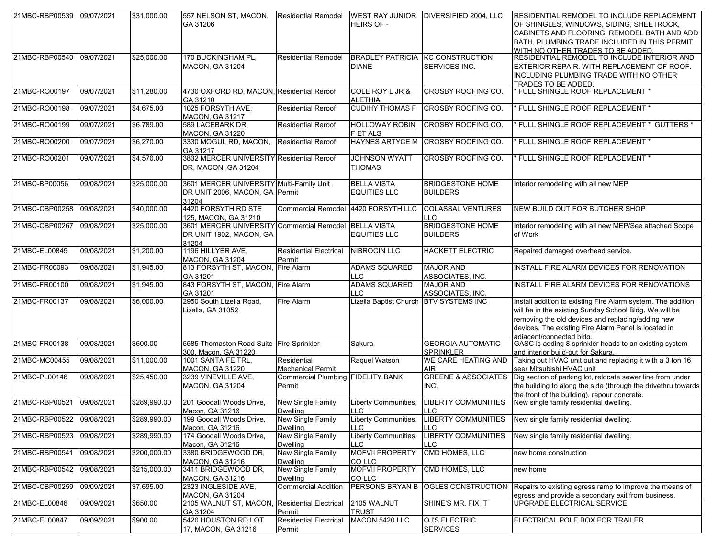| 21MBC-RBP00539 09/07/2021 |            | \$31,000.00  | 557 NELSON ST, MACON,<br>GA 31206                                                   | <b>Residential Remodel</b>                         | <b>WEST RAY JUNIOR</b><br><b>HEIRS OF -</b> | DIVERSIFIED 2004, LLC                             | RESIDENTIAL REMODEL TO INCLUDE REPLACEMENT<br>OF SHINGLES, WINDOWS, SIDING, SHEETROCK,<br>CABINETS AND FLOORING. REMODEL BATH AND ADD<br>BATH. PLUMBING TRADE INCLUDED IN THIS PERMIT<br>WITH NO OTHER TRADES TO BE ADDED.                                     |
|---------------------------|------------|--------------|-------------------------------------------------------------------------------------|----------------------------------------------------|---------------------------------------------|---------------------------------------------------|----------------------------------------------------------------------------------------------------------------------------------------------------------------------------------------------------------------------------------------------------------------|
| 21MBC-RBP00540            | 09/07/2021 | \$25,000.00  | 170 BUCKINGHAM PL,<br><b>MACON, GA 31204</b>                                        | <b>Residential Remodel</b>                         | <b>DIANE</b>                                | BRADLEY PATRICIA KC CONSTRUCTION<br>SERVICES INC. | RESIDENTIAL REMODEL TO INCLUDE INTERIOR AND<br>EXTERIOR REPAIR. WITH REPLACEMENT OF ROOF.<br><b>INCLUDING PLUMBING TRADE WITH NO OTHER</b><br>TRADES TO BE ADDED.                                                                                              |
| 21MBC-RO00197             | 09/07/2021 | \$11,280.00  | 4730 OXFORD RD, MACON, Residential Reroof<br>GA 31210                               |                                                    | COLE ROY L JR &<br><b>ALETHIA</b>           | <b>CROSBY ROOFING CO.</b>                         | FULL SHINGLE ROOF REPLACEMENT *                                                                                                                                                                                                                                |
| 21MBC-RO00198             | 09/07/2021 | \$4,675.00   | 1025 FORSYTH AVE,<br><b>MACON, GA 31217</b>                                         | <b>Residential Reroof</b>                          | <b>CUDIHY THOMAS F</b>                      | CROSBY ROOFING CO.                                | FULL SHINGLE ROOF REPLACEMENT *                                                                                                                                                                                                                                |
| 21MBC-RO00199             | 09/07/2021 | \$6,789.00   | 589 LACEBARK DR,<br><b>MACON, GA 31220</b>                                          | <b>Residential Reroof</b>                          | <b>HOLLOWAY ROBIN</b><br>F ET ALS           | CROSBY ROOFING CO.                                | FULL SHINGLE ROOF REPLACEMENT * GUTTERS *                                                                                                                                                                                                                      |
| 21MBC-RO00200             | 09/07/2021 | \$6,270.00   | 3330 MOGUL RD, MACON,<br>GA 31217                                                   | <b>Residential Reroof</b>                          | <b>HAYNES ARTYCE M</b>                      | <b>CROSBY ROOFING CO.</b>                         | FULL SHINGLE ROOF REPLACEMENT *                                                                                                                                                                                                                                |
| 21MBC-RO00201             | 09/07/2021 | \$4,570.00   | 3832 MERCER UNIVERSITY Residential Reroof<br>DR, MACON, GA 31204                    |                                                    | <b>JOHNSON WYATT</b><br><b>THOMAS</b>       | <b>CROSBY ROOFING CO.</b>                         | FULL SHINGLE ROOF REPLACEMENT *                                                                                                                                                                                                                                |
| 21MBC-BP00056             | 09/08/2021 | \$25,000.00  | 3601 MERCER UNIVERSITY Multi-Family Unit<br>DR UNIT 2006, MACON, GA Permit<br>31204 |                                                    | <b>BELLA VISTA</b><br><b>EQUITIES LLC</b>   | <b>BRIDGESTONE HOME</b><br><b>BUILDERS</b>        | Interior remodeling with all new MEP                                                                                                                                                                                                                           |
| 21MBC-CBP00258            | 09/08/2021 | \$40,000.00  | 4420 FORSYTH RD STE<br>125, MACON, GA 31210                                         |                                                    | Commercial Remodel 4420 FORSYTH LLC         | <b>COLASSAL VENTURES</b><br>ПC                    | NEW BUILD OUT FOR BUTCHER SHOP                                                                                                                                                                                                                                 |
| 21MBC-CBP00267            | 09/08/2021 | \$25,000.00  | 3601 MERCER UNIVERSITY Commercial Remodel<br>DR UNIT 1902, MACON, GA<br>31204       |                                                    | <b>BELLA VISTA</b><br><b>EQUITIES LLC</b>   | <b>BRIDGESTONE HOME</b><br><b>BUILDERS</b>        | Interior remodeling with all new MEP/See attached Scope<br>of Work                                                                                                                                                                                             |
| 21MBC-EL00845             | 09/08/2021 | \$1,200.00   | 1196 HILLYER AVE,<br><b>MACON, GA 31204</b>                                         | <b>Residential Electrical</b><br>Permit            | NIBROCIN LLC                                | <b>HACKETT ELECTRIC</b>                           | Repaired damaged overhead service.                                                                                                                                                                                                                             |
| 21MBC-FR00093             | 09/08/2021 | \$1,945.00   | 813 FORSYTH ST, MACON, Fire Alarm<br>GA 31201                                       |                                                    | <b>ADAMS SQUARED</b><br><b>LLC</b>          | <b>MAJOR AND</b><br>ASSOCIATES, INC.              | INSTALL FIRE ALARM DEVICES FOR RENOVATION                                                                                                                                                                                                                      |
| 21MBC-FR00100             | 09/08/2021 | \$1,945.00   | 843 FORSYTH ST, MACON,<br>GA 31201                                                  | Fire Alarm                                         | ADAMS SQUARED<br><b>LLC</b>                 | <b>MAJOR AND</b><br>ASSOCIATES, INC.              | INSTALL FIRE ALARM DEVICES FOR RENOVATIONS                                                                                                                                                                                                                     |
| 21MBC-FR00137             | 09/08/2021 | \$6,000.00   | 2950 South Lizella Road,<br>Lizella, GA 31052                                       | Fire Alarm                                         | Lizella Baptist Church BTV SYSTEMS INC      |                                                   | Install addition to existing Fire Alarm system. The addition<br>will be in the existing Sunday School Bldg. We will be<br>removing the old devices and replacing/adding new<br>devices. The existing Fire Alarm Panel is located in<br>adiacent/connected bldg |
| 21MBC-FR00138             | 09/08/2021 | \$600.00     | 5585 Thomaston Road Suite Fire Sprinkler<br>300, Macon, GA 31220                    |                                                    | Sakura                                      | <b>GEORGIA AUTOMATIC</b><br><b>SPRINKLER</b>      | GASC is adding 8 sprinkler heads to an existing system<br>and interior build-out for Sakura.                                                                                                                                                                   |
| 21MBC-MC00455             | 09/08/2021 | \$11,000.00  | 1001 SANTA FE TRL,<br><b>MACON, GA 31220</b>                                        | Residential<br>Mechanical Permit                   | Raquel Watson                               | WE CARE HEATING AND<br><b>AIR</b>                 | Taking out HVAC unit out and replacing it with a 3 ton 16<br>seer Mitsubishi HVAC unit                                                                                                                                                                         |
| 21MBC-PL00146             | 09/08/2021 | \$25,450.00  | 3239 VINEVILLE AVE,<br>MACON, GA 31204                                              | <b>Commercial Plumbing FIDELITY BANK</b><br>Permit |                                             | <b>GREENE &amp; ASSOCIATES</b><br>INC.            | Dig section of parking lot, relocate sewer line from under<br>the building to along the side (through the drivethru towards<br>the front of the building), repour concrete.                                                                                    |
| 21MBC-RBP00521            | 09/08/2021 | \$289,990.00 | 201 Goodall Woods Drive,<br>Macon, GA 31216                                         | New Single Family<br>Dwelling                      | Liberty Communities,<br><b>LLC</b>          | <b>LIBERTY COMMUNITIES</b><br>-LC                 | New single family residential dwelling.                                                                                                                                                                                                                        |
| 21MBC-RBP00522 09/08/2021 |            | \$289,990.00 | 199 Goodall Woods Drive,<br>Macon, GA 31216                                         | New Single Family<br><b>Dwelling</b>               | Liberty Communities,<br><b>LLC</b>          | LLC                                               | LIBERTY COMMUNITIES New single family residential dwelling.                                                                                                                                                                                                    |
| 21MBC-RBP00523            | 09/08/2021 | \$289,990.00 | 174 Goodall Woods Drive,<br>Macon, GA 31216                                         | New Single Family<br>Dwelling                      | Liberty Communities,<br><b>LLC</b>          | <b>LIBERTY COMMUNITIES</b><br>LLC                 | New single family residential dwelling.                                                                                                                                                                                                                        |
| 21MBC-RBP00541            | 09/08/2021 | \$200,000.00 | 3380 BRIDGEWOOD DR,<br><b>MACON, GA 31216</b>                                       | New Single Family<br><b>Dwelling</b>               | <b>MOFVII PROPERTY</b><br>CO LLC            | CMD HOMES, LLC                                    | new home construction                                                                                                                                                                                                                                          |
| 21MBC-RBP00542            | 09/08/2021 | \$215,000.00 | 3411 BRIDGEWOOD DR,<br><b>MACON, GA 31216</b>                                       | <b>New Single Family</b><br><b>Dwelling</b>        | MOFVII PROPERTY<br>CO LLC                   | CMD HOMES, LLC                                    | new home                                                                                                                                                                                                                                                       |
| 21MBC-CBP00259            | 09/09/2021 | \$7,695.00   | 2323 INGLESIDE AVE,<br><b>MACON, GA 31204</b>                                       | <b>Commercial Addition</b>                         |                                             | PERSONS BRYAN B OGLES CONSTRUCTION                | Repairs to existing egress ramp to improve the means of<br>egress and provide a secondary exit from business.                                                                                                                                                  |
| 21MBC-EL00846             | 09/09/2021 | \$650.00     | 2105 WALNUT ST, MACON,<br>GA 31204                                                  | <b>Residential Electrical</b><br>Permit            | 2105 WALNUT<br><b>TRUST</b>                 | SHINE'S MR. FIX IT                                | UPGRADE ELECTRICAL SERVICE                                                                                                                                                                                                                                     |
| 21MBC-EL00847             | 09/09/2021 | \$900.00     | 5420 HOUSTON RD LOT<br>17, MACON, GA 31216                                          | <b>Residential Electrical</b><br>Permit            | MACON 5420 LLC                              | OJ'S ELECTRIC<br><b>SERVICES</b>                  | ELECTRICAL POLE BOX FOR TRAILER                                                                                                                                                                                                                                |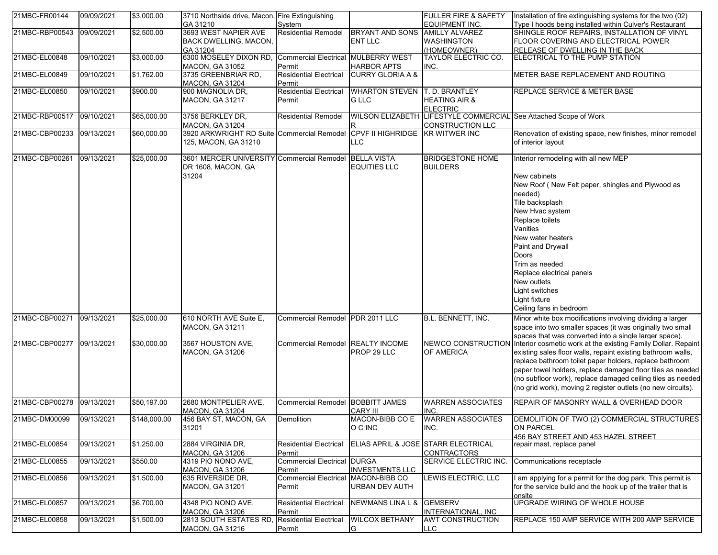| 21MBC-FR00144  | 09/09/2021 | \$3,000.00   | 3710 Northside drive, Macon, Fire Extinguishing<br>GA 31210 | System                           |                             | <b>FULLER FIRE &amp; SAFETY</b><br><b>EQUIPMENT INC.</b> | Installation of fire extinguishing systems for the two (02)<br>Type I hoods being installed within Culver's Restaurant |
|----------------|------------|--------------|-------------------------------------------------------------|----------------------------------|-----------------------------|----------------------------------------------------------|------------------------------------------------------------------------------------------------------------------------|
| 21MBC-RBP00543 | 09/09/2021 | \$2,500.00   | 3693 WEST NAPIER AVE                                        | <b>Residential Remodel</b>       | <b>BRYANT AND SONS</b>      |                                                          | SHINGLE ROOF REPAIRS, INSTALLATION OF VINYL                                                                            |
|                |            |              |                                                             |                                  |                             | <b>AMILLY ALVAREZ</b>                                    |                                                                                                                        |
|                |            |              | <b>BACK DWELLING, MACON,</b>                                |                                  | <b>ENT LLC</b>              | <b>WASHINGTON</b>                                        | FLOOR COVERING AND ELECTRICAL POWER                                                                                    |
|                |            |              | GA 31204                                                    |                                  |                             | HOMEOWNER)                                               | RELEASE OF DWELLING IN THE BACK                                                                                        |
| 21MBC-EL00848  | 09/10/2021 | \$3,000.00   | 6300 MOSELEY DIXON RD                                       | <b>Commercial Electrical</b>     | <b>MULBERRY WEST</b>        | TAYLOR ELECTRIC CO.                                      | ELECTRICAL TO THE PUMP STATION                                                                                         |
|                |            |              | <b>MACON, GA 31052</b>                                      | Permit                           | <b>HARBOR APTS</b>          | INC.                                                     |                                                                                                                        |
| 21MBC-EL00849  | 09/10/2021 | \$1,762.00   | 3735 GREENBRIAR RD.                                         | <b>Residential Electrical</b>    | <b>CURRY GLORIA A &amp;</b> |                                                          | METER BASE REPLACEMENT AND ROUTING                                                                                     |
|                |            |              | <b>MACON, GA 31204</b>                                      | Permit                           |                             |                                                          |                                                                                                                        |
| 21MBC-EL00850  | 09/10/2021 | \$900.00     | 900 MAGNOLIA DR,                                            | <b>Residential Electrical</b>    | <b>WHARTON STEVEN</b>       | T. D. BRANTLEY                                           | REPLACE SERVICE & METER BASE                                                                                           |
|                |            |              | <b>MACON, GA 31217</b>                                      | Permit                           | <b>G LLC</b>                | <b>HEATING AIR &amp;</b>                                 |                                                                                                                        |
|                |            |              |                                                             |                                  |                             | <b>ELECTRIC</b>                                          |                                                                                                                        |
| 21MBC-RBP00517 | 09/10/2021 | \$65,000.00  | 3756 BERKLEY DR,                                            | <b>Residential Remodel</b>       |                             | WILSON ELIZABETH LIFESTYLE COMMERCIAL                    | See Attached Scope of Work                                                                                             |
|                |            |              | <b>MACON, GA 31204</b>                                      |                                  |                             | <b>CONSTRUCTION LLC</b>                                  |                                                                                                                        |
| 21MBC-CBP00233 | 09/13/2021 | \$60,000.00  | 3920 ARKWRIGHT RD Suite Commercial Remodel                  |                                  | <b>CPVF II HIGHRIDGE</b>    | <b>KR WITWER INC</b>                                     | Renovation of existing space, new finishes, minor remodel                                                              |
|                |            |              |                                                             |                                  |                             |                                                          |                                                                                                                        |
|                |            |              | 125, MACON, GA 31210                                        |                                  | LLC                         |                                                          | of interior layout                                                                                                     |
|                |            |              |                                                             |                                  |                             |                                                          |                                                                                                                        |
| 21MBC-CBP00261 | 09/13/2021 | \$25,000.00  | 3601 MERCER UNIVERSITY Commercial Remodel BELLA VISTA       |                                  |                             | <b>BRIDGESTONE HOME</b>                                  | Interior remodeling with all new MEP                                                                                   |
|                |            |              | DR 1608, MACON, GA                                          |                                  | <b>EQUITIES LLC</b>         | <b>BUILDERS</b>                                          |                                                                                                                        |
|                |            |              | 31204                                                       |                                  |                             |                                                          | New cabinets                                                                                                           |
|                |            |              |                                                             |                                  |                             |                                                          | New Roof (New Felt paper, shingles and Plywood as                                                                      |
|                |            |              |                                                             |                                  |                             |                                                          | needed)                                                                                                                |
|                |            |              |                                                             |                                  |                             |                                                          |                                                                                                                        |
|                |            |              |                                                             |                                  |                             |                                                          | Tile backsplash                                                                                                        |
|                |            |              |                                                             |                                  |                             |                                                          | New Hvac system                                                                                                        |
|                |            |              |                                                             |                                  |                             |                                                          | Replace toilets                                                                                                        |
|                |            |              |                                                             |                                  |                             |                                                          | Vanities                                                                                                               |
|                |            |              |                                                             |                                  |                             |                                                          |                                                                                                                        |
|                |            |              |                                                             |                                  |                             |                                                          | New water heaters                                                                                                      |
|                |            |              |                                                             |                                  |                             |                                                          | Paint and Drywall                                                                                                      |
|                |            |              |                                                             |                                  |                             |                                                          | Doors                                                                                                                  |
|                |            |              |                                                             |                                  |                             |                                                          | Trim as needed                                                                                                         |
|                |            |              |                                                             |                                  |                             |                                                          | Replace electrical panels                                                                                              |
|                |            |              |                                                             |                                  |                             |                                                          | New outlets                                                                                                            |
|                |            |              |                                                             |                                  |                             |                                                          |                                                                                                                        |
|                |            |              |                                                             |                                  |                             |                                                          | Light switches                                                                                                         |
|                |            |              |                                                             |                                  |                             |                                                          | Light fixture                                                                                                          |
|                |            |              |                                                             |                                  |                             |                                                          | Ceiling fans in bedroom                                                                                                |
| 21MBC-CBP00271 | 09/13/2021 | \$25,000.00  | 610 NORTH AVE Suite E.                                      | Commercial Remodel PDR 2011 LLC  |                             | B.L. BENNETT, INC.                                       | Minor white box modifications involving dividing a larger                                                              |
|                |            |              |                                                             |                                  |                             |                                                          |                                                                                                                        |
|                |            |              | MACON, GA 31211                                             |                                  |                             |                                                          | space into two smaller spaces (it was originally two small                                                             |
|                |            |              |                                                             |                                  |                             |                                                          | spaces that was converted into a single larger space).                                                                 |
| 21MBC-CBP00277 | 09/13/2021 | \$30,000.00  | 3567 HOUSTON AVE,                                           | Commercial Remodel REALTY INCOME |                             | <b>NEWCO CONSTRUCTION</b>                                | Interior cosmetic work at the existing Family Dollar. Repaint                                                          |
|                |            |              | <b>MACON, GA 31206</b>                                      |                                  | PROP 29 LLC                 | OF AMERICA                                               | existing sales floor walls, repaint existing bathroom walls,                                                           |
|                |            |              |                                                             |                                  |                             |                                                          | replace bathroom toilet paper holders, replace bathroom                                                                |
|                |            |              |                                                             |                                  |                             |                                                          | paper towel holders, replace damaged floor tiles as needed                                                             |
|                |            |              |                                                             |                                  |                             |                                                          |                                                                                                                        |
|                |            |              |                                                             |                                  |                             |                                                          | (no subfloor work), replace damaged ceiling tiles as needed                                                            |
|                |            |              |                                                             |                                  |                             |                                                          | (no grid work), moving 2 register outlets (no new circuits).                                                           |
|                |            |              |                                                             |                                  |                             |                                                          |                                                                                                                        |
| 21MBC-CBP00278 | 09/13/2021 | \$50,197.00  | 2680 MONTPELIER AVE,                                        | <b>Commercial Remodel</b>        | <b>BOBBITT JAMES</b>        | <b>WARREN ASSOCIATES</b>                                 | REPAIR OF MASONRY WALL & OVERHEAD DOOR                                                                                 |
|                |            |              | <b>MACON, GA 31204</b>                                      |                                  | <b>CARY III</b>             | INC.                                                     |                                                                                                                        |
| 21MBC-DM00099  | 09/13/2021 | \$148,000.00 | 456 BAY ST, MACON, GA                                       | Demolition                       | MACON-BIBB CO E             |                                                          | WARREN ASSOCIATES DEMOLITION OF TWO (2) COMMERCIAL STRUCTURES                                                          |
|                |            |              | 31201                                                       |                                  | O C INC                     | INC.                                                     | <b>ON PARCEL</b>                                                                                                       |
|                |            |              |                                                             |                                  |                             |                                                          | 456 BAY STREET AND 453 HAZEL STREET                                                                                    |
| 21MBC-EL00854  | 09/13/2021 | \$1,250.00   | 2884 VIRGINIA DR.                                           | <b>Residential Electrical</b>    |                             | ELIAS APRIL & JOSE STARR ELECTRICAL                      | repair mast, replace panel                                                                                             |
|                |            |              | <b>MACON, GA 31206</b>                                      |                                  |                             | CONTRACTORS                                              |                                                                                                                        |
|                |            |              |                                                             | Permit                           |                             | SERVICE ELECTRIC INC.                                    |                                                                                                                        |
| 21MBC-EL00855  | 09/13/2021 | \$550.00     | 4319 PIO NONO AVE,                                          | <b>Commercial Electrical</b>     | <b>DURGA</b>                |                                                          | Communications receptacle                                                                                              |
|                |            |              | <b>MACON, GA 31206</b>                                      | Permit                           | <b>INVESTMENTS LLC</b>      |                                                          |                                                                                                                        |
| 21MBC-EL00856  | 09/13/2021 | \$1,500.00   | 635 RIVERSIDE DR.                                           | <b>Commercial Electrical</b>     | MACON-BIBB CO               | LEWIS ELECTRIC, LLC                                      | am applying for a permit for the dog park. This permit is                                                              |
|                |            |              | MACON, GA 31201                                             | Permit                           | <b>URBAN DEV AUTH</b>       |                                                          | for the service build and the hook up of the trailer that is                                                           |
|                |            |              |                                                             |                                  |                             |                                                          | onsite                                                                                                                 |
| 21MBC-EL00857  | 09/13/2021 | \$6,700.00   | 4348 PIO NONO AVE,                                          | <b>Residential Electrical</b>    | NEWMANS LINA L &            | <b>GEMSERV</b>                                           | UPGRADE WIRING OF WHOLE HOUSE                                                                                          |
|                |            |              | <b>MACON, GA 31206</b>                                      | Permit                           |                             | INTERNATIONAL, INC                                       |                                                                                                                        |
|                |            |              |                                                             |                                  | <b>WILCOX BETHANY</b>       |                                                          | REPLACE 150 AMP SERVICE WITH 200 AMP SERVICE                                                                           |
| 21MBC-EL00858  | 09/13/2021 | \$1,500.00   | 2813 SOUTH ESTATES RD                                       | <b>Residential Electrical</b>    |                             | <b>AWT CONSTRUCTION</b>                                  |                                                                                                                        |
|                |            |              | <b>MACON, GA 31216</b>                                      | Permit                           | G                           | <b>LLC</b>                                               |                                                                                                                        |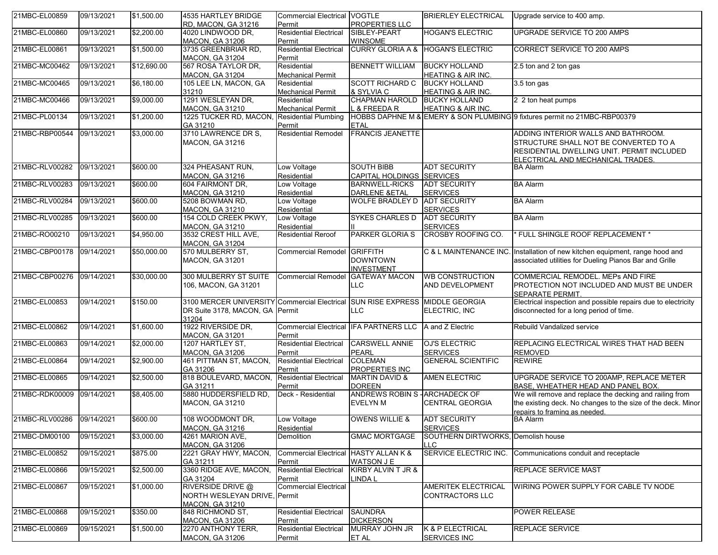| 21MBC-EL00859  | 09/13/2021 | \$1,500.00  | 4535 HARTLEY BRIDGE                            | <b>Commercial Electrical</b>            | <b>VOGTLE</b>                              | <b>BRIERLEY ELECTRICAL</b>                            | Upgrade service to 400 amp.                                                                                                                                     |
|----------------|------------|-------------|------------------------------------------------|-----------------------------------------|--------------------------------------------|-------------------------------------------------------|-----------------------------------------------------------------------------------------------------------------------------------------------------------------|
| 21MBC-EL00860  | 09/13/2021 | \$2,200.00  | RD, MACON, GA 31216<br>4020 LINDWOOD DR,       | Permit<br><b>Residential Electrical</b> | <b>PROPERTIES LLC</b><br>SIBLEY-PEART      | <b>HOGAN'S ELECTRIC</b>                               | UPGRADE SERVICE TO 200 AMPS                                                                                                                                     |
|                |            |             | <b>MACON, GA 31206</b>                         | Permit                                  | <b>WINSOME</b>                             |                                                       |                                                                                                                                                                 |
| 21MBC-EL00861  | 09/13/2021 | \$1,500.00  | 3735 GREENBRIAR RD,<br><b>MACON, GA 31204</b>  | <b>Residential Electrical</b><br>Permit |                                            | CURRY GLORIA A & HOGAN'S ELECTRIC                     | CORRECT SERVICE TO 200 AMPS                                                                                                                                     |
| 21MBC-MC00462  | 09/13/2021 | \$12,690.00 | 567 ROSA TAYLOR DR,                            | Residential                             | <b>BENNETT WILLIAM</b>                     | <b>BUCKY HOLLAND</b>                                  | 2.5 ton and 2 ton gas                                                                                                                                           |
|                |            |             | MACON, GA 31204                                | <b>Mechanical Permit</b>                |                                            | <b>HEATING &amp; AIR INC.</b>                         |                                                                                                                                                                 |
| 21MBC-MC00465  | 09/13/2021 | \$6,180.00  | 105 LEE LN, MACON, GA                          | Residential                             | <b>SCOTT RICHARD C</b>                     | <b>BUCKY HOLLAND</b>                                  | 3.5 ton gas                                                                                                                                                     |
|                |            |             | 31210                                          | <b>Mechanical Permit</b>                | & SYLVIA C                                 | <b>HEATING &amp; AIR INC.</b>                         |                                                                                                                                                                 |
| 21MBC-MC00466  | 09/13/2021 | \$9,000.00  | 1291 WESLEYAN DR,                              | Residential                             | <b>CHAPMAN HAROLD</b>                      | <b>BUCKY HOLLAND</b>                                  | 2 2 ton heat pumps                                                                                                                                              |
|                |            |             | <b>MACON, GA 31210</b>                         | <b>Mechanical Permit</b>                | L & FREEDA R                               | <b>HEATING &amp; AIR INC.</b>                         |                                                                                                                                                                 |
| 21MBC-PL00134  | 09/13/2021 | \$1,200.00  | 1225 TUCKER RD, MACON                          | <b>Residential Plumbing</b>             |                                            |                                                       | HOBBS DAPHNE M & EMERY & SON PLUMBING 9 fixtures permit no 21MBC-RBP00379                                                                                       |
|                |            |             | GA 31210                                       | Permit                                  | <b>ETAL</b>                                |                                                       |                                                                                                                                                                 |
| 21MBC-RBP00544 | 09/13/2021 | \$3,000.00  | 3710 LAWRENCE DR S,<br>MACON, GA 31216         | <b>Residential Remodel</b>              | <b>FRANCIS JEANETTE</b>                    |                                                       | ADDING INTERIOR WALLS AND BATHROOM.<br>STRUCTURE SHALL NOT BE CONVERTED TO A<br>RESIDENTIAL DWELLING UNIT. PERMIT INCLUDED<br>ELECTRICAL AND MECHANICAL TRADES. |
| 21MBC-RLV00282 | 09/13/2021 | \$600.00    | 324 PHEASANT RUN,                              | Low Voltage                             | <b>SOUTH BIBB</b>                          | <b>ADT SECURITY</b>                                   | <b>BA Alarm</b>                                                                                                                                                 |
|                |            |             | <b>MACON, GA 31216</b>                         | Residential                             | <b>CAPITAL HOLDINGS SERVICES</b>           |                                                       |                                                                                                                                                                 |
| 21MBC-RLV00283 | 09/13/2021 | \$600.00    | 604 FAIRMONT DR,                               | Low Voltage                             | <b>BARNWELL-RICKS</b>                      | <b>ADT SECURITY</b>                                   | <b>BA Alarm</b>                                                                                                                                                 |
|                |            |             | <b>MACON, GA 31210</b>                         | Residential                             | <b>DARLENE &amp;ETAL</b>                   | <b>SERVICES</b>                                       |                                                                                                                                                                 |
| 21MBC-RLV00284 | 09/13/2021 | \$600.00    | 5208 BOWMAN RD,                                | Low Voltage<br>Residential              | <b>WOLFE BRADLEY D</b>                     | <b>ADT SECURITY</b><br><b>SERVICES</b>                | <b>BA Alarm</b>                                                                                                                                                 |
| 21MBC-RLV00285 | 09/13/2021 | \$600.00    | <b>MACON, GA 31210</b><br>154 COLD CREEK PKWY, | Low Voltage                             | <b>SYKES CHARLES D</b>                     | <b>ADT SECURITY</b>                                   | <b>BA Alarm</b>                                                                                                                                                 |
|                |            |             | <b>MACON, GA 31210</b>                         | Residential                             |                                            | <b>SERVICES</b>                                       |                                                                                                                                                                 |
| 21MBC-RO00210  | 09/13/2021 | \$4,950.00  | 3532 CREST HILL AVE,                           | <b>Residential Reroof</b>               | <b>PARKER GLORIA S</b>                     | CROSBY ROOFING CO.                                    | FULL SHINGLE ROOF REPLACEMENT *                                                                                                                                 |
|                |            |             | <b>MACON, GA 31204</b>                         |                                         |                                            |                                                       |                                                                                                                                                                 |
| 21MBC-CBP00178 | 09/14/2021 | \$50,000.00 | 570 MULBERRY ST,                               | <b>Commercial Remodel</b>               | <b>GRIFFITH</b>                            |                                                       | C & L MAINTENANCE INC. Installation of new kitchen equipment, range hood and                                                                                    |
|                |            |             | MACON, GA 31201                                |                                         | <b>DOWNTOWN</b>                            |                                                       | associated utilities for Dueling Pianos Bar and Grille                                                                                                          |
|                |            |             |                                                |                                         | <b>INVESTMENT</b>                          |                                                       |                                                                                                                                                                 |
| 21MBC-CBP00276 | 09/14/2021 | \$30,000.00 | 300 MULBERRY ST SUITE<br>106, MACON, GA 31201  | <b>Commercial Remodel</b>               | <b>GATEWAY MACON</b><br><b>LLC</b>         | <b>WB CONSTRUCTION</b><br>AND DEVELOPMENT             | COMMERCIAL REMODEL. MEPS AND FIRE<br>PROTECTION NOT INCLUDED AND MUST BE UNDER<br><b>SEPARATE PERMIT.</b>                                                       |
| 21MBC-EL00853  | 09/14/2021 | \$150.00    | 3100 MERCER UNIVERSITY Commercial Electrical   |                                         | SUN RISE EXPRESS MIDDLE GEORGIA            |                                                       | Electrical inspection and possible repairs due to electricity                                                                                                   |
|                |            |             | DR Suite 3178, MACON, GA Permit<br>31204       |                                         | <b>LLC</b>                                 | ELECTRIC, INC                                         | disconnected for a long period of time.                                                                                                                         |
| 21MBC-EL00862  | 09/14/2021 | \$1,600.00  | 1922 RIVERSIDE DR,                             | Commercial Electrical IFA PARTNERS LLC  |                                            | A and Z Electric                                      | Rebuild Vandalized service                                                                                                                                      |
|                |            |             | <b>MACON, GA 31201</b>                         | Permit                                  |                                            |                                                       |                                                                                                                                                                 |
| 21MBC-EL00863  | 09/14/2021 | \$2,000.00  | 1207 HARTLEY ST,                               | <b>Residential Electrical</b>           | <b>CARSWELL ANNIE</b>                      | OJ'S ELECTRIC                                         | REPLACING ELECTRICAL WIRES THAT HAD BEEN                                                                                                                        |
|                |            |             | <b>MACON, GA 31206</b>                         | Permit                                  | <b>PEARL</b>                               | <b>SERVICES</b>                                       | <b>REMOVED</b>                                                                                                                                                  |
| 21MBC-EL00864  | 09/14/2021 | \$2,900.00  | 461 PITTMAN ST, MACON,                         | <b>Residential Electrical</b>           | <b>COLEMAN</b>                             | <b>GENERAL SCIENTIFIC</b>                             | <b>REWIRE</b>                                                                                                                                                   |
|                |            |             | GA 31206                                       | Permit                                  | PROPERTIES INC                             |                                                       |                                                                                                                                                                 |
| 21MBC-EL00865  | 09/14/2021 | \$2,500.00  | 818 BOULEVARD, MACON,<br>GA 31211              | <b>Residential Electrical</b><br>Permit | <b>MARTIN DAVID &amp;</b><br><b>DOREEN</b> | <b>AMEN ELECTRIC</b>                                  | UPGRADE SERVICE TO 200AMP, REPLACE METER<br>BASE, WHEATHER HEAD AND PANEL BOX.                                                                                  |
| 21MBC-RDK00009 | 09/14/2021 | \$8,405.00  | 5880 HUDDERSFIELD RD,                          | Deck - Residential                      | <b>ANDREWS ROBIN S</b>                     | -ARCHADECK OF                                         | We will remove and replace the decking and railing from                                                                                                         |
|                |            |             | MACON, GA 31210                                |                                         | <b>EVELYN M</b>                            | <b>CENTRAL GEORGIA</b>                                | the existing deck. No changes to the size of the deck. Minor                                                                                                    |
|                |            |             |                                                |                                         |                                            |                                                       | repairs to framing as needed.                                                                                                                                   |
| 21MBC-RLV00286 | 09/14/2021 | \$600.00    | 108 WOODMONT DR,                               | Low Voltage                             | <b>OWENS WILLIE &amp;</b>                  | <b>ADT SECURITY</b>                                   | <b>BA Alarm</b>                                                                                                                                                 |
| 21MBC-DM00100  | 09/15/2021 | \$3,000.00  | <b>MACON, GA 31216</b><br>4261 MARION AVE,     | Residential<br><b>Demolition</b>        | <b>GMAC MORTGAGE</b>                       | <b>SERVICES</b><br>SOUTHERN DIRTWORKS, Demolish house |                                                                                                                                                                 |
|                |            |             | <b>MACON, GA 31206</b>                         |                                         |                                            | LLC                                                   |                                                                                                                                                                 |
| 21MBC-EL00852  | 09/15/2021 | \$875.00    | 2221 GRAY HWY, MACON,                          | <b>Commercial Electrical</b>            | <b>HASTY ALLAN K &amp;</b>                 | SERVICE ELECTRIC INC.                                 | Communications conduit and receptacle                                                                                                                           |
|                |            |             | GA 31211                                       | Permit                                  | <b>WATSON JE</b>                           |                                                       |                                                                                                                                                                 |
| 21MBC-EL00866  | 09/15/2021 | \$2,500.00  | 3360 RIDGE AVE, MACON,                         | <b>Residential Electrical</b>           | KIRBY ALVIN T JR &                         |                                                       | <b>REPLACE SERVICE MAST</b>                                                                                                                                     |
|                |            |             | GA 31204                                       | Permit                                  | LINDA L                                    |                                                       |                                                                                                                                                                 |
| 21MBC-EL00867  | 09/15/2021 | \$1,000.00  | RIVERSIDE DRIVE @                              | <b>Commercial Electrical</b>            |                                            | <b>AMERITEK ELECTRICAL</b>                            | WIRING POWER SUPPLY FOR CABLE TV NODE                                                                                                                           |
|                |            |             | NORTH WESLEYAN DRIVE. Permit                   |                                         |                                            | <b>CONTRACTORS LLC</b>                                |                                                                                                                                                                 |
|                |            |             | <b>MACON, GA 31210</b>                         |                                         |                                            |                                                       |                                                                                                                                                                 |
| 21MBC-EL00868  | 09/15/2021 | \$350.00    | 848 RICHMOND ST,<br><b>MACON, GA 31206</b>     | <b>Residential Electrical</b>           | <b>SAUNDRA</b><br><b>DICKERSON</b>         |                                                       | <b>POWER RELEASE</b>                                                                                                                                            |
| 21MBC-EL00869  | 09/15/2021 | \$1,500.00  | 2270 ANTHONY TERR.                             | Permit<br><b>Residential Electrical</b> | MURRAY JOHN JR                             | K & P ELECTRICAL                                      | <b>REPLACE SERVICE</b>                                                                                                                                          |
|                |            |             | <b>MACON, GA 31206</b>                         | Permit                                  | ET AL                                      | <b>SERVICES INC</b>                                   |                                                                                                                                                                 |
|                |            |             |                                                |                                         |                                            |                                                       |                                                                                                                                                                 |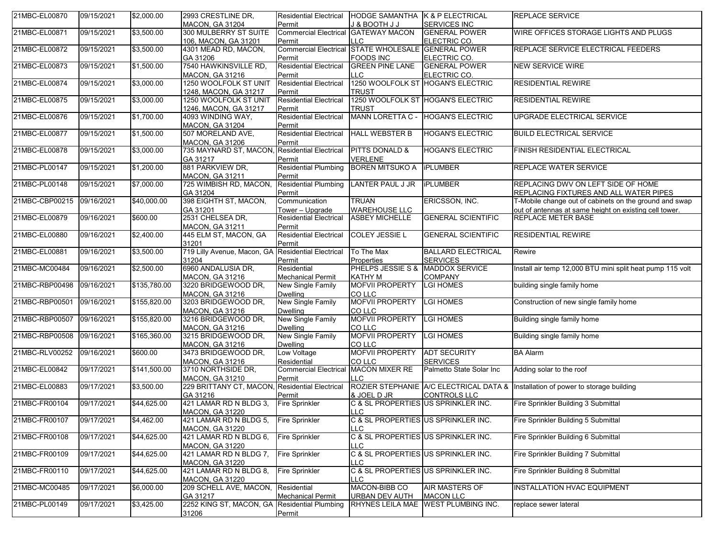| 21MBC-EL00870  | 09/15/2021 | \$2,000.00   | 2993 CRESTLINE DR,                              | <b>Residential Electrical</b>           | HODGE SAMANTHA K & P ELECTRICAL     |                                     | <b>REPLACE SERVICE</b>                                                           |
|----------------|------------|--------------|-------------------------------------------------|-----------------------------------------|-------------------------------------|-------------------------------------|----------------------------------------------------------------------------------|
|                |            |              | <b>MACON, GA 31204</b>                          | Permit                                  | <b>J &amp; BOOTH J J</b>            | <b>SERVICES INC</b>                 |                                                                                  |
| 21MBC-EL00871  | 09/15/2021 | \$3,500.00   | 300 MULBERRY ST SUITE                           | <b>Commercial Electrical</b>            | <b>GATEWAY MACON</b>                | <b>GENERAL POWER</b>                | WIRE OFFICES STORAGE LIGHTS AND PLUGS                                            |
|                |            |              | 106, MACON, GA 31201                            | Permit                                  | <b>LLC</b>                          | ELECTRIC CO.                        |                                                                                  |
| 21MBC-EL00872  | 09/15/2021 | \$3,500.00   | 4301 MEAD RD, MACON,                            | <b>Commercial Electrical</b>            | STATE WHOLESALE GENERAL POWER       |                                     | REPLACE SERVICE ELECTRICAL FEEDERS                                               |
|                |            |              | GA 31206                                        | Permit                                  | <b>FOODS INC</b>                    | ELECTRIC CO.                        |                                                                                  |
| 21MBC-EL00873  | 09/15/2021 | \$1,500.00   | 7540 HAWKINSVILLE RD,                           | <b>Residential Electrical</b>           | <b>GREEN PINE LANE</b>              | <b>GENERAL POWER</b>                | <b>NEW SERVICE WIRE</b>                                                          |
|                |            |              | <b>MACON, GA 31216</b>                          | Permit                                  | <b>LLC</b>                          | ELECTRIC CO.                        |                                                                                  |
| 21MBC-EL00874  | 09/15/2021 | \$3,000.00   | 1250 WOOLFOLK ST UNIT                           | <b>Residential Electrical</b>           |                                     | 1250 WOOLFOLK ST HOGAN'S ELECTRIC   | RESIDENTIAL REWIRE                                                               |
|                |            |              | 1248, MACON, GA 31217                           | Permit                                  | TRUST                               |                                     |                                                                                  |
| 21MBC-EL00875  | 09/15/2021 | \$3,000.00   | 1250 WOOLFOLK ST UNIT                           | <b>Residential Electrical</b>           |                                     | 1250 WOOLFOLK ST HOGAN'S ELECTRIC   | <b>RESIDENTIAL REWIRE</b>                                                        |
|                |            |              | 1246, MACON, GA 31217                           | Permit                                  | <b>TRUST</b>                        |                                     |                                                                                  |
| 21MBC-EL00876  | 09/15/2021 | \$1,700.00   | 4093 WINDING WAY,                               | <b>Residential Electrical</b>           | MANN LORETTA C -                    | <b>HOGAN'S ELECTRIC</b>             | UPGRADE ELECTRICAL SERVICE                                                       |
|                |            |              | <b>MACON, GA 31204</b>                          | Permit                                  |                                     |                                     |                                                                                  |
| 21MBC-EL00877  | 09/15/2021 | \$1,500.00   | 507 MORELAND AVE,                               | <b>Residential Electrical</b>           | <b>HALL WEBSTER B</b>               | <b>HOGAN'S ELECTRIC</b>             | <b>BUILD ELECTRICAL SERVICE</b>                                                  |
|                |            |              |                                                 |                                         |                                     |                                     |                                                                                  |
|                | 09/15/2021 | \$3,000.00   | <b>MACON, GA 31206</b><br>735 MAYNARD ST, MACON | Permit<br><b>Residential Electrical</b> | <b>PITTS DONALD &amp;</b>           | <b>HOGAN'S ELECTRIC</b>             |                                                                                  |
| 21MBC-EL00878  |            |              |                                                 |                                         |                                     |                                     | FINISH RESIDENTIAL ELECTRICAL                                                    |
|                |            |              | GA 31217                                        | Permit                                  | <b>VERLENE</b>                      |                                     |                                                                                  |
| 21MBC-PL00147  | 09/15/2021 | \$1,200.00   | 881 PARKVIEW DR,                                | <b>Residential Plumbing</b>             | <b>BOREN MITSUKO A</b>              | <b>iPLUMBER</b>                     | REPLACE WATER SERVICE                                                            |
|                |            |              | <b>MACON, GA 31211</b>                          | Permit                                  |                                     |                                     |                                                                                  |
| 21MBC-PL00148  | 09/15/2021 | \$7,000.00   | 725 WIMBISH RD, MACON                           | <b>Residential Plumbing</b>             | LANTER PAUL J JR                    | <b>iPLUMBER</b>                     | REPLACING DWV ON LEFT SIDE OF HOME                                               |
|                |            |              | GA 31204                                        | Permit                                  |                                     |                                     | REPLACING FIXTURES AND ALL WATER PIPES                                           |
| 21MBC-CBP00215 | 09/16/2021 | \$40,000.00  | 398 EIGHTH ST, MACON,                           | Communication                           | <b>TRUAN</b>                        | ERICSSON, INC.                      | T-Mobile change out of cabinets on the ground and swap                           |
|                |            |              | GA 31201                                        | Tower - Upgrade                         | <b>WAREHOUSE LLC</b>                |                                     | out of antennas at same height on existing cell tower.                           |
| 21MBC-EL00879  | 09/16/2021 | \$600.00     | 2531 CHELSEA DR,                                | <b>Residential Electrical</b>           | <b>ASBEY MICHELLE</b>               | <b>GENERAL SCIENTIFIC</b>           | <b>REPLACE METER BASE</b>                                                        |
|                |            |              | <b>MACON, GA 31211</b>                          | Permit                                  |                                     |                                     |                                                                                  |
| 21MBC-EL00880  | 09/16/2021 | \$2,400.00   | 445 ELM ST, MACON, GA                           | <b>Residential Electrical</b>           | <b>COLEY JESSIE L</b>               | <b>GENERAL SCIENTIFIC</b>           | <b>RESIDENTIAL REWIRE</b>                                                        |
|                |            |              | 31201                                           | Permit                                  |                                     |                                     |                                                                                  |
| 21MBC-EL00881  | 09/16/2021 | \$3,500.00   | 719 Lilly Avenue, Macon, GA                     | <b>Residential Electrical</b>           | To The Max                          | <b>BALLARD ELECTRICAL</b>           | Rewire                                                                           |
|                |            |              | 31204                                           | Permit                                  | Properties                          | <b>SERVICES</b>                     |                                                                                  |
| 21MBC-MC00484  | 09/16/2021 | \$2,500.00   | 6960 ANDALUSIA DR,                              | Residential                             | <b>PHELPS JESSIE S &amp;</b>        | MADDOX SERVICE                      | Install air temp 12,000 BTU mini split heat pump 115 volt                        |
|                |            |              | <b>MACON, GA 31216</b>                          | <b>Mechanical Permit</b>                | <b>KATHYM</b>                       | <b>COMPANY</b>                      |                                                                                  |
| 21MBC-RBP00498 | 09/16/2021 | \$135,780.00 | 3220 BRIDGEWOOD DR,                             | New Single Family                       | <b>MOFVII PROPERTY</b>              | <b>LGI HOMES</b>                    | building single family home                                                      |
|                |            |              |                                                 |                                         | CO LLC                              |                                     |                                                                                  |
|                |            |              | <b>MACON, GA 31216</b>                          | <b>Dwelling</b>                         | <b>MOFVII PROPERTY</b>              |                                     |                                                                                  |
| 21MBC-RBP00501 | 09/16/2021 | \$155,820.00 | 3203 BRIDGEWOOD DR,                             | New Single Family                       |                                     | <b>LGI HOMES</b>                    | Construction of new single family home                                           |
|                |            |              | <b>MACON, GA 31216</b>                          | <b>Dwelling</b>                         | CO LLC                              |                                     |                                                                                  |
| 21MBC-RBP00507 | 09/16/2021 | \$155,820.00 | 3216 BRIDGEWOOD DR,                             | New Single Family                       | <b>MOFVII PROPERTY</b>              | <b>LGI HOMES</b>                    | Building single family home                                                      |
|                |            |              | <b>MACON, GA 31216</b>                          | <b>Dwelling</b>                         | CO LLC                              |                                     |                                                                                  |
| 21MBC-RBP00508 | 09/16/2021 | \$165,360.00 | 3215 BRIDGEWOOD DR.                             | New Single Family                       | <b>MOFVII PROPERTY</b>              | <b>LGI HOMES</b>                    | Building single family home                                                      |
|                |            |              | <b>MACON, GA 31216</b>                          | <b>Dwelling</b>                         | CO LLC                              |                                     |                                                                                  |
| 21MBC-RLV00252 | 09/16/2021 | \$600.00     | 3473 BRIDGEWOOD DR.                             | Low Voltage                             | <b>MOFVII PROPERTY</b>              | <b>ADT SECURITY</b>                 | <b>BA Alarm</b>                                                                  |
|                |            |              | <b>MACON, GA 31216</b>                          | Residential                             | CO LLC                              | <b>SERVICES</b>                     |                                                                                  |
| 21MBC-EL00842  | 09/17/2021 | \$141,500.00 | 3710 NORTHSIDE DR,                              | <b>Commercial Electrical</b>            | <b>MACON MIXER RE</b>               | Palmetto State Solar Inc            | Adding solar to the roof                                                         |
|                |            |              | <b>MACON, GA 31210</b>                          | Permit                                  | <b>LLC</b>                          |                                     |                                                                                  |
| 21MBC-EL00883  | 09/17/2021 | \$3,500.00   | 229 BRITTANY CT, MACON                          | Residential Electrical                  |                                     |                                     | ROZIER STEPHANIE A/C ELECTRICAL DATA & Installation of power to storage building |
|                |            |              | GA 31216                                        | Permit                                  | & JOEL D JR                         | <b>CONTROLS LLC</b>                 |                                                                                  |
| 21MBC-FR00104  | 09/17/2021 | \$44,625.00  | 421 LAMAR RD N BLDG 3,                          | <b>Fire Sprinkler</b>                   |                                     | C & SL PROPERTIES US SPRINKLER INC. | Fire Sprinkler Building 3 Submittal                                              |
|                |            |              | <b>MACON, GA 31220</b>                          |                                         | <b>LLC</b>                          |                                     |                                                                                  |
| 21MBC-FR00107  | 09/17/2021 | \$4,462.00   | 421 LAMAR RD N BLDG 5,                          | <b>Fire Sprinkler</b>                   | C & SL PROPERTIES US SPRINKLER INC. |                                     | Fire Sprinkler Building 5 Submittal                                              |
|                |            |              | <b>MACON, GA 31220</b>                          |                                         | <b>LLC</b>                          |                                     |                                                                                  |
|                |            |              |                                                 |                                         |                                     |                                     |                                                                                  |
| 21MBC-FR00108  | 09/17/2021 | \$44,625.00  | 421 LAMAR RD N BLDG 6,                          | Fire Sprinkler                          |                                     | C & SL PROPERTIES US SPRINKLER INC. | Fire Sprinkler Building 6 Submittal                                              |
|                |            |              | <b>MACON, GA 31220</b>                          |                                         | II C                                |                                     |                                                                                  |
| 21MBC-FR00109  | 09/17/2021 | \$44,625.00  | 421 LAMAR RD N BLDG 7,                          | Fire Sprinkler                          |                                     | C & SL PROPERTIES US SPRINKLER INC. | Fire Sprinkler Building 7 Submittal                                              |
|                |            |              | <b>MACON, GA 31220</b>                          |                                         | LLC                                 |                                     |                                                                                  |
| 21MBC-FR00110  | 09/17/2021 | \$44,625.00  | 421 LAMAR RD N BLDG 8,                          | Fire Sprinkler                          |                                     | C & SL PROPERTIES US SPRINKLER INC. | Fire Sprinkler Building 8 Submittal                                              |
|                |            |              | <b>MACON, GA 31220</b>                          |                                         | LLC                                 |                                     |                                                                                  |
| 21MBC-MC00485  | 09/17/2021 | \$6,000.00   | 209 SCHELL AVE, MACON                           | Residential                             | MACON-BIBB CO                       | <b>AIR MASTERS OF</b>               | <b>INSTALLATION HVAC EQUIPMENT</b>                                               |
|                |            |              | GA 31217                                        | <b>Mechanical Permit</b>                | <b>URBAN DEV AUTH</b>               | <b>MACON LLC</b>                    |                                                                                  |
| 21MBC-PL00149  | 09/17/2021 | \$3,425.00   | 2252 KING ST, MACON, GA                         | <b>Residential Plumbing</b>             | <b>RHYNES LEILA MAE</b>             | <b>WEST PLUMBING INC.</b>           | replace sewer lateral                                                            |
|                |            |              | 31206                                           | Permit                                  |                                     |                                     |                                                                                  |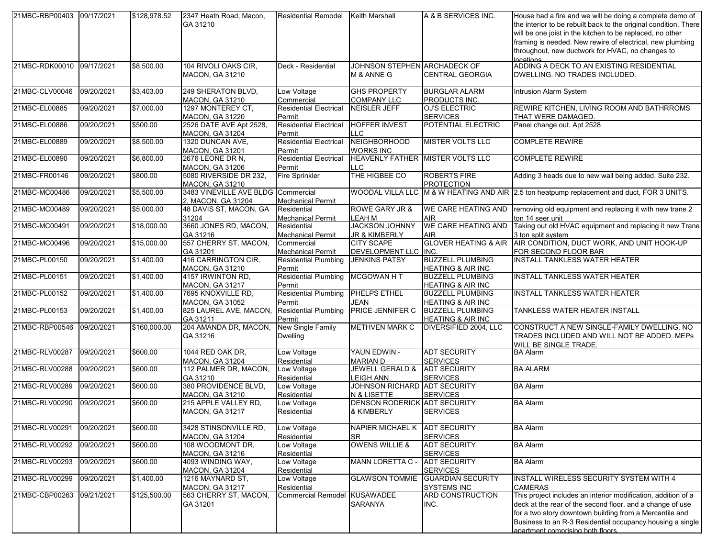| 21MBC-RBP00403            | 09/17/2021 | \$128,978.52 | 2347 Heath Road, Macon,<br>GA 31210                      | <b>Residential Remodel</b>              | <b>Keith Marshall</b>                          | A & B SERVICES INC.                                     | House had a fire and we will be doing a complete demo of<br>the interior to be rebuilt back to the original condition. There<br>will be one joist in the kitchen to be replaced, no other<br>framing is needed. New rewire of electrical, new plumbing<br>throughout, new ductwork for HVAC, no changes to<br>ocations |
|---------------------------|------------|--------------|----------------------------------------------------------|-----------------------------------------|------------------------------------------------|---------------------------------------------------------|------------------------------------------------------------------------------------------------------------------------------------------------------------------------------------------------------------------------------------------------------------------------------------------------------------------------|
| 21MBC-RDK00010 09/17/2021 |            | \$8,500.00   | 104 RIVOLI OAKS CIR,<br><b>MACON, GA 31210</b>           | Deck - Residential                      | JOHNSON STEPHEN ARCHADECK OF<br>M & ANNE G     | <b>CENTRAL GEORGIA</b>                                  | ADDING A DECK TO AN EXISTING RESIDENTIAL<br>DWELLING. NO TRADES INCLUDED.                                                                                                                                                                                                                                              |
| 21MBC-CLV00046            | 09/20/2021 | \$3,403.00   | 249 SHERATON BLVD,<br><b>MACON, GA 31210</b>             | Low Voltage<br>Commercial               | <b>GHS PROPERTY</b><br><b>COMPANY LLC</b>      | <b>BURGLAR ALARM</b><br>PRODUCTS INC.                   | Intrusion Alarm System                                                                                                                                                                                                                                                                                                 |
| 21MBC-EL00885             | 09/20/2021 | \$7,000.00   | 1297 MONTEREY CT,<br><b>MACON, GA 31220</b>              | <b>Residential Electrical</b><br>Permit | NEISLER JEFF                                   | <b>OJ'S ELECTRIC</b><br><b>SERVICES</b>                 | REWIRE KITCHEN, LIVING ROOM AND BATHRROMS<br>THAT WERE DAMAGED.                                                                                                                                                                                                                                                        |
| 21MBC-EL00886             | 09/20/2021 | \$500.00     | 2526 DATE AVE Apt 2528,<br><b>MACON, GA 31204</b>        | <b>Residential Electrical</b><br>Permit | <b>HOFFER INVEST</b><br><b>LLC</b>             | POTENTIAL ELECTRIC                                      | Panel change out. Apt 2528                                                                                                                                                                                                                                                                                             |
| 21MBC-EL00889             | 09/20/2021 | \$8,500.00   | 1320 DUNCAN AVE,<br><b>MACON, GA 31201</b>               | <b>Residential Electrical</b><br>Permit | <b>NEIGHBORHOOD</b><br><b>WORKS INC</b>        | <b>MISTER VOLTS LLC</b>                                 | <b>COMPLETE REWIRE</b>                                                                                                                                                                                                                                                                                                 |
| 21MBC-EL00890             | 09/20/2021 | \$6,800.00   | 2676 LEONE DR N,<br><b>MACON, GA 31206</b>               | <b>Residential Electrical</b><br>Permit | HEAVENLY FATHER MISTER VOLTS LLC<br><b>LLC</b> |                                                         | <b>COMPLETE REWIRE</b>                                                                                                                                                                                                                                                                                                 |
| 21MBC-FR00146             | 09/20/2021 | \$800.00     | 5080 RIVERSIDE DR 232,<br><b>MACON, GA 31210</b>         | <b>Fire Sprinkler</b>                   | THE HIGBEE CO                                  | <b>ROBERTS FIRE</b><br><b>PROTECTION</b>                | Adding 3 heads due to new wall being added. Suite 232.                                                                                                                                                                                                                                                                 |
| 21MBC-MC00486             | 09/20/2021 | \$5,500.00   | 3483 VINEVILLE AVE BLDG Commercial<br>2, MACON, GA 31204 | <b>Mechanical Permit</b>                |                                                |                                                         | WOODAL VILLA LLC M & W HEATING AND AIR 2.5 ton heatpump replacement and duct, FOR 3 UNITS.                                                                                                                                                                                                                             |
| 21MBC-MC00489             | 09/20/2021 | \$5,000.00   | 48 DAVIS ST, MACON, GA<br>31204                          | Residential<br><b>Mechanical Permit</b> | <b>ROWE GARY JR &amp;</b><br><b>LEAH M</b>     | <b>WE CARE HEATING AND</b><br><b>AIR</b>                | removing old equipment and replacing it with new trane 2<br>ton 14 seer unit                                                                                                                                                                                                                                           |
| 21MBC-MC00491             | 09/20/2021 | \$18,000.00  | 3660 JONES RD, MACON,<br>GA 31216                        | Residential<br><b>Mechanical Permit</b> | <b>JACKSON JOHNNY</b><br>JR & KIMBERLY         | WE CARE HEATING AND<br><b>AIR</b>                       | Taking out old HVAC equipment and replacing it new Trane<br>3 ton split system                                                                                                                                                                                                                                         |
| 21MBC-MC00496             | 09/20/2021 | \$15,000.00  | 557 CHERRY ST, MACON,<br>GA 31201                        | Commercial<br><b>Mechanical Permit</b>  | <b>CITY SCAPE</b><br>DEVELOPMENT LLC INC.      | <b>GLOVER HEATING &amp; AIR</b>                         | AIR CONDITION, DUCT WORK, AND UNIT HOOK-UP<br>FOR SECOND FLOOR BAR                                                                                                                                                                                                                                                     |
| 21MBC-PL00150             | 09/20/2021 | \$1,400.00   | 416 CARRINGTON CIR,<br><b>MACON, GA 31210</b>            | <b>Residential Plumbing</b><br>Permit   | <b>JENKINS PATSY</b>                           | <b>BUZZELL PLUMBING</b><br><b>HEATING &amp; AIR INC</b> | <b>INSTALL TANKLESS WATER HEATER</b>                                                                                                                                                                                                                                                                                   |
| 21MBC-PL00151             | 09/20/2021 | \$1,400.00   | 4157 IRWINTON RD,<br><b>MACON, GA 31217</b>              | <b>Residential Plumbing</b><br>Permit   | MCGOWAN HT                                     | <b>BUZZELL PLUMBING</b><br><b>HEATING &amp; AIR INC</b> | <b>INSTALL TANKLESS WATER HEATER</b>                                                                                                                                                                                                                                                                                   |
| 21MBC-PL00152             | 09/20/2021 | \$1,400.00   | 7695 KNOXVILLE RD,<br><b>MACON, GA 31052</b>             | <b>Residential Plumbing</b><br>Permit   | PHELPS ETHEL<br><b>JEAN</b>                    | <b>BUZZELL PLUMBING</b><br><b>HEATING &amp; AIR INC</b> | <b>INSTALL TANKLESS WATER HEATER</b>                                                                                                                                                                                                                                                                                   |
| 21MBC-PL00153             | 09/20/2021 | \$1,400.00   | 825 LAUREL AVE, MACON,<br>GA 31211                       | <b>Residential Plumbing</b><br>Permit   | PRICE JENNIFER C                               | <b>BUZZELL PLUMBING</b><br><b>HEATING &amp; AIR INC</b> | TANKLESS WATER HEATER INSTALL                                                                                                                                                                                                                                                                                          |
| 21MBC-RBP00546            | 09/20/2021 | \$160,000.00 | 204 AMANDA DR, MACON,<br>GA 31216                        | New Single Family<br><b>Dwelling</b>    | <b>METHVEN MARK C</b>                          | DIVERSIFIED 2004, LLC                                   | CONSTRUCT A NEW SINGLE-FAMILY DWELLING. NO<br>TRADES INCLUDED AND WILL NOT BE ADDED. MEPS<br><b>WILL BE SINGLE TRADE.</b>                                                                                                                                                                                              |
| 21MBC-RLV00287            | 09/20/2021 | \$600.00     | 1044 RED OAK DR,<br><b>MACON, GA 31204</b>               | Low Voltage<br>Residential              | YAUN EDWIN -<br><b>MARIAN D</b>                | <b>ADT SECURITY</b><br><b>SERVICES</b>                  | <b>BA</b> Alarm                                                                                                                                                                                                                                                                                                        |
| 21MBC-RLV00288            | 09/20/2021 | \$600.00     | 112 PALMER DR, MACON,<br>GA 31210                        | Low Voltage<br>Residential              | <b>JEWELL GERALD &amp;</b><br><b>LEIGH ANN</b> | <b>ADT SECURITY</b><br><b>SERVICES</b>                  | <b>BA ALARM</b>                                                                                                                                                                                                                                                                                                        |
| 21MBC-RLV00289            | 09/20/2021 | \$600.00     | 380 PROVIDENCE BLVD,<br><b>MACON, GA 31210</b>           | Low Voltage<br>Residential              | JOHNSON RICHARD ADT SECURITY<br>N & LISETTE    | <b>SERVICES</b>                                         | <b>BA Alarm</b>                                                                                                                                                                                                                                                                                                        |
| 21MBC-RLV00290            | 09/20/2021 | \$600.00     | 215 APPLE VALLEY RD,<br><b>MACON, GA 31217</b>           | Low Voltage<br>Residential              | <b>DENSON RODERICK</b><br>& KIMBERLY           | <b>ADT SECURITY</b><br><b>SERVICES</b>                  | <b>BA Alarm</b>                                                                                                                                                                                                                                                                                                        |
| 21MBC-RLV00291            | 09/20/2021 | \$600.00     | 3428 STINSONVILLE RD,<br><b>MACON, GA 31204</b>          | Low Voltage<br>Residential              | <b>NAPIER MICHAEL K</b><br>SR                  | <b>ADT SECURITY</b><br><b>SERVICES</b>                  | <b>BA</b> Alarm                                                                                                                                                                                                                                                                                                        |
| 21MBC-RLV00292            | 09/20/2021 | \$600.00     | 108 WOODMONT DR,<br><b>MACON, GA 31216</b>               | Low Voltage<br>Residential              | <b>OWENS WILLIE &amp;</b>                      | <b>ADT SECURITY</b><br><b>SERVICES</b>                  | <b>BA Alarm</b>                                                                                                                                                                                                                                                                                                        |
| 21MBC-RLV00293            | 09/20/2021 | \$600.00     | 4093 WINDING WAY,<br><b>MACON, GA 31204</b>              | Low Voltage<br>Residential              | <b>MANN LORETTA C -</b>                        | <b>ADT SECURITY</b><br><b>SERVICES</b>                  | <b>BA Alarm</b>                                                                                                                                                                                                                                                                                                        |
| 21MBC-RLV00299            | 09/20/2021 | \$1,400.00   | 1216 MAYNARD ST,<br><b>MACON, GA 31217</b>               | Low Voltage<br>Residential              | <b>GLAWSON TOMMIE</b>                          | <b>GUARDIAN SECURITY</b><br><b>SYSTEMS INC</b>          | INSTALL WIRELESS SECURITY SYSTEM WITH 4<br><b>CAMERAS</b>                                                                                                                                                                                                                                                              |
| 21MBC-CBP00263            | 09/21/2021 | \$125,500.00 | 563 CHERRY ST, MACON,<br>GA 31201                        | <b>Commercial Remodel</b>               | <b>KUSAWADEE</b><br>SARANYA                    | ARD CONSTRUCTION<br>INC.                                | This project includes an interior modification, addition of a<br>deck at the rear of the second floor, and a change of use<br>for a two story downtown building from a Mercantile and<br>Business to an R-3 Residential occupancy housing a single<br>apartment comprising both floors                                 |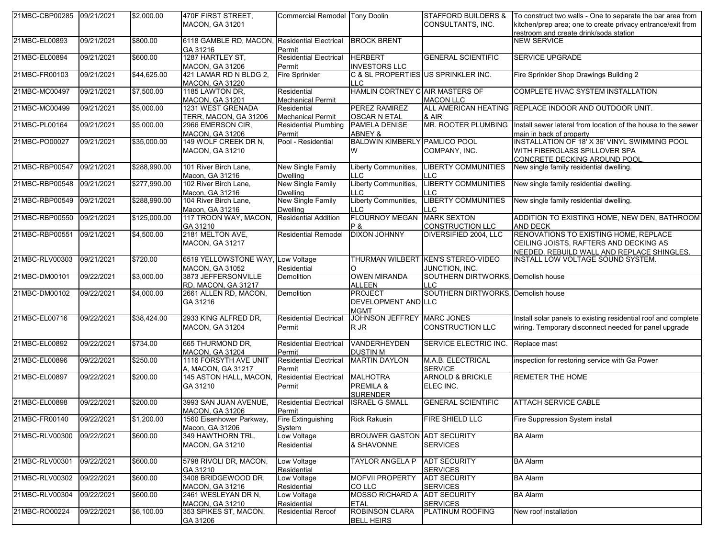| 21MBC-CBP00285 09/21/2021 |            | \$2,000.00   | 470F FIRST STREET,<br><b>MACON, GA 31201</b>     | Commercial Remodel Tony Doolin              |                                                      | STAFFORD BUILDERS &<br>CONSULTANTS, INC.             | To construct two walls - One to separate the bar area from<br>kitchen/prep area; one to create privacy entrance/exit from<br>restroom and create drink/soda station |
|---------------------------|------------|--------------|--------------------------------------------------|---------------------------------------------|------------------------------------------------------|------------------------------------------------------|---------------------------------------------------------------------------------------------------------------------------------------------------------------------|
| 21MBC-EL00893             | 09/21/2021 | \$800.00     | 6118 GAMBLE RD, MACON,<br>GA 31216               | <b>Residential Electrical</b><br>Permit     | <b>BROCK BRENT</b>                                   |                                                      | <b>NEW SERVICE</b>                                                                                                                                                  |
| 21MBC-EL00894             | 09/21/2021 | \$600.00     | 1287 HARTLEY ST,<br><b>MACON, GA 31206</b>       | <b>Residential Electrical</b><br>Permit     | <b>HERBERT</b><br><b>INVESTORS LLC</b>               | <b>GENERAL SCIENTIFIC</b>                            | <b>SERVICE UPGRADE</b>                                                                                                                                              |
| 21MBC-FR00103             | 09/21/2021 | \$44,625.00  | 421 LAMAR RD N BLDG 2,<br><b>MACON, GA 31220</b> | <b>Fire Sprinkler</b>                       | C & SL PROPERTIES US SPRINKLER INC.<br><b>LLC</b>    |                                                      | Fire Sprinkler Shop Drawings Building 2                                                                                                                             |
| 21MBC-MC00497             | 09/21/2021 | \$7,500.00   | 1185 LAWTON DR.<br><b>MACON, GA 31201</b>        | Residential<br><b>Mechanical Permit</b>     | HAMLIN CORTNEY CAIR MASTERS OF                       | <b>MACON LLC</b>                                     | COMPLETE HVAC SYSTEM INSTALLATION                                                                                                                                   |
| 21MBC-MC00499             | 09/21/2021 | \$5,000.00   | 1231 WEST GRENADA<br>TERR, MACON, GA 31206       | Residential<br><b>Mechanical Permit</b>     | PEREZ RAMIREZ<br><b>OSCAR N ETAL</b>                 | & AIR                                                | ALL AMERICAN HEATING REPLACE INDOOR AND OUTDOOR UNIT.                                                                                                               |
| 21MBC-PL00164             | 09/21/2021 | \$5,000.00   | 2966 EMERSON CIR,<br><b>MACON, GA 31206</b>      | <b>Residential Plumbing</b><br>Permit       | PAMELA DENISE<br>ABNEY &                             | MR. ROOTER PLUMBING                                  | Install sewer lateral from location of the house to the sewer<br>main in back of property                                                                           |
| 21MBC-PO00027             | 09/21/2021 | \$35,000.00  | 149 WOLF CREEK DR N,<br>MACON, GA 31210          | Pool - Residential                          | <b>BALDWIN KIMBERLY PAMLICO POOL</b><br>W            | COMPANY, INC.                                        | INSTALLATION OF 18' X 36' VINYL SWIMMING POOL<br>WITH FIBERGLASS SPILLOVER SPA<br>CONCRETE DECKING AROUND POOL                                                      |
| 21MBC-RBP00547            | 09/21/2021 | \$288,990.00 | 101 River Birch Lane,<br>Macon, GA 31216         | <b>New Single Family</b><br><b>Dwelling</b> | <b>Liberty Communities,</b><br>LLC.                  | <b>LIBERTY COMMUNITIES</b><br>LLC                    | New single family residential dwelling.                                                                                                                             |
| 21MBC-RBP00548            | 09/21/2021 | \$277,990.00 | 102 River Birch Lane,<br>Macon, GA 31216         | New Single Family<br><b>Dwelling</b>        | Liberty Communities,<br><b>LLC</b>                   | <b>LIBERTY COMMUNITIES</b><br>LLC                    | New single family residential dwelling.                                                                                                                             |
| 21MBC-RBP00549            | 09/21/2021 | \$288,990.00 | 104 River Birch Lane,<br>Macon, GA 31216         | <b>New Single Family</b><br><b>Dwelling</b> | Liberty Communities,<br><b>LLC</b>                   | <b>LIBERTY COMMUNITIES</b><br><b>LLC</b>             | New single family residential dwelling.                                                                                                                             |
| 21MBC-RBP00550            | 09/21/2021 | \$125,000.00 | 117 TROON WAY, MACON.<br>GA 31210                | <b>Residential Addition</b>                 | <b>FLOURNOY MEGAN</b><br>P &                         | <b>MARK SEXTON</b><br><b>CONSTRUCTION LLC</b>        | ADDITION TO EXISTING HOME, NEW DEN, BATHROOM<br><b>AND DECK</b>                                                                                                     |
| 21MBC-RBP00551            | 09/21/2021 | \$4,500.00   | 2181 MELTON AVE,<br>MACON, GA 31217              | <b>Residential Remodel</b>                  | <b>DIXON JOHNNY</b>                                  | DIVERSIFIED 2004, LLC                                | RENOVATIONS TO EXISTING HOME, REPLACE<br>CEILING JOISTS, RAFTERS AND DECKING AS<br>NEEDED. REBUILD WALL AND REPLACE SHINGLES.                                       |
| 21MBC-RLV00303            | 09/21/2021 | \$720.00     | 6519 YELLOWSTONE WAY.<br><b>MACON, GA 31052</b>  | , Low Voltage<br>Residential                | O                                                    | THURMAN WILBERT KEN'S STEREO-VIDEO<br>JUNCTION, INC. | INSTALL LOW VOLTAGE SOUND SYSTEM.                                                                                                                                   |
| 21MBC-DM00101             | 09/22/2021 | \$3,000.00   | 3873 JEFFERSONVILLE<br>RD, MACON, GA 31217       | Demolition                                  | <b>OWEN MIRANDA</b><br><b>ALLEEN</b>                 | SOUTHERN DIRTWORKS, Demolish house<br><b>LLC</b>     |                                                                                                                                                                     |
| 21MBC-DM00102             | 09/22/2021 | \$4,000.00   | 2661 ALLEN RD, MACON,<br>GA 31216                | Demolition                                  | <b>PROJECT</b><br>DEVELOPMENT AND LLC<br><b>MGMT</b> | SOUTHERN DIRTWORKS, Demolish house                   |                                                                                                                                                                     |
| 21MBC-EL00716             | 09/22/2021 | \$38,424.00  | 2933 KING ALFRED DR,<br>MACON, GA 31204          | <b>Residential Electrical</b><br>Permit     | <b>JOHNSON JEFFREY</b><br>R JR.                      | <b>MARC JONES</b><br><b>CONSTRUCTION LLC</b>         | Install solar panels to existing residential roof and complete<br>wiring. Temporary disconnect needed for panel upgrade                                             |
| 21MBC-EL00892             | 09/22/2021 | \$734.00     | 665 THURMOND DR,<br><b>MACON, GA 31204</b>       | <b>Residential Electrical</b><br>Permit     | VANDERHEYDEN<br><b>DUSTIN M</b>                      | SERVICE ELECTRIC INC.                                | Replace mast                                                                                                                                                        |
| 21MBC-EL00896             | 09/22/2021 | \$250.00     | 1116 FORSYTH AVE UNIT<br>A, MACON, GA 31217      | <b>Residential Electrical</b><br>Permit     | <b>MARTIN DAYLON</b>                                 | M.A.B. ELECTRICAL<br><b>SERVICE</b>                  | inspection for restoring service with Ga Power                                                                                                                      |
| 21MBC-EL00897             | 09/22/2021 | \$200.00     | 145 ASTON HALL, MACON,<br>GA 31210               | <b>Residential Electrical</b><br>Permit     | <b>MALHOTRA</b><br>PREMILA &<br><b>SURENDER</b>      | <b>ARNOLD &amp; BRICKLE</b><br>ELEC INC.             | <b>REMETER THE HOME</b>                                                                                                                                             |
| 21MBC-EL00898             | 09/22/2021 | \$200.00     | 3993 SAN JUAN AVENUE,<br><b>MACON, GA 31206</b>  | <b>Residential Electrical</b><br>Permit     | <b>ISRAEL G SMALL</b>                                | <b>GENERAL SCIENTIFIC</b>                            | <b>ATTACH SERVICE CABLE</b>                                                                                                                                         |
| 21MBC-FR00140             | 09/22/2021 | \$1,200.00   | 1560 Eisenhower Parkway,<br>Macon, GA 31206      | Fire Extinguishing<br>System                | <b>Rick Rakusin</b>                                  | <b>FIRE SHIELD LLC</b>                               | Fire Suppression System install                                                                                                                                     |
| 21MBC-RLV00300            | 09/22/2021 | \$600.00     | 349 HAWTHORN TRL,<br><b>MACON, GA 31210</b>      | Low Voltage<br>Residential                  | <b>BROUWER GASTON ADT SECURITY</b><br>& SHAVONNE     | <b>SERVICES</b>                                      | <b>BA Alarm</b>                                                                                                                                                     |
| 21MBC-RLV00301            | 09/22/2021 | \$600.00     | 5798 RIVOLI DR, MACON,<br>GA 31210               | Low Voltage<br>Residential                  | TAYLOR ANGELA P                                      | <b>ADT SECURITY</b><br><b>SERVICES</b>               | <b>BA</b> Alarm                                                                                                                                                     |
| 21MBC-RLV00302            | 09/22/2021 | \$600.00     | 3408 BRIDGEWOOD DR,<br><b>MACON, GA 31216</b>    | Low Voltage<br>Residential                  | <b>MOFVII PROPERTY</b><br>CO LLC                     | <b>ADT SECURITY</b><br><b>SERVICES</b>               | <b>BA Alarm</b>                                                                                                                                                     |
| 21MBC-RLV00304            | 09/22/2021 | \$600.00     | 2461 WESLEYAN DR N,<br><b>MACON, GA 31210</b>    | Low Voltage<br>Residential                  | <b>MOSSO RICHARD A</b><br><b>ETAL</b>                | ADT SECURITY<br><b>SERVICES</b>                      | <b>BA Alarm</b>                                                                                                                                                     |
| 21MBC-RO00224             | 09/22/2021 | \$6,100.00   | 353 SPIKES ST, MACON,<br>GA 31206                | <b>Residential Reroof</b>                   | ROBINSON CLARA<br><b>BELL HEIRS</b>                  | PLATINUM ROOFING                                     | New roof installation                                                                                                                                               |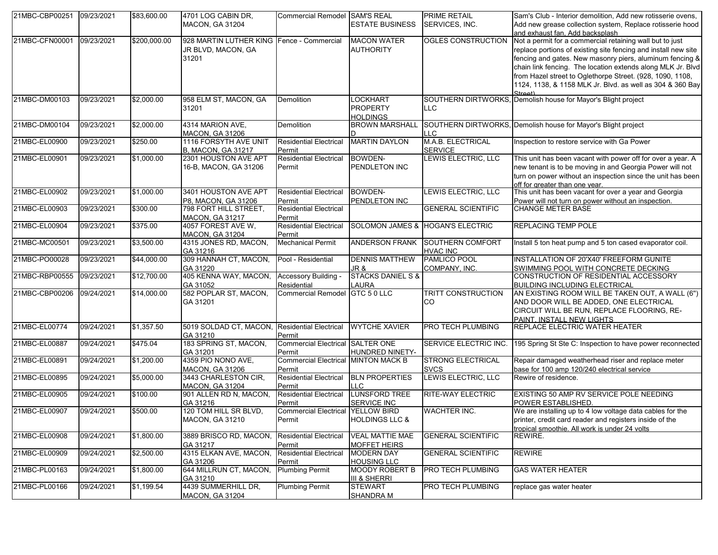| 21MBC-CBP00251 | 09/23/2021 | \$83,600.00  | 4701 LOG CABIN DR,<br><b>MACON, GA 31204</b>                             | Commercial Remodel SAM'S REAL                 | <b>ESTATE BUSINESS</b>                                | <b>PRIME RETAIL</b><br>SERVICES, INC.      | Sam's Club - Interior demolition, Add new rotisserie ovens,<br>Add new grease collection system, Replace rotisserie hood<br>and exhaust fan, Add backsplash                                                                                                                                                                                                                                |
|----------------|------------|--------------|--------------------------------------------------------------------------|-----------------------------------------------|-------------------------------------------------------|--------------------------------------------|--------------------------------------------------------------------------------------------------------------------------------------------------------------------------------------------------------------------------------------------------------------------------------------------------------------------------------------------------------------------------------------------|
| 21MBC-CFN00001 | 09/23/2021 | \$200,000.00 | 928 MARTIN LUTHER KING Fence - Commercial<br>JR BLVD, MACON, GA<br>31201 |                                               | <b>MACON WATER</b><br><b>AUTHORITY</b>                | <b>OGLES CONSTRUCTION</b>                  | Not a permit for a commercial retaining wall but to just<br>replace portions of existing site fencing and install new site<br>fencing and gates. New masonry piers, aluminum fencing &<br>chain link fencing. The location extends along MLK Jr. Blvd<br>from Hazel street to Oglethorpe Street. (928, 1090, 1108,<br>1124, 1138, & 1158 MLK Jr. Blvd. as well as 304 & 360 Bay<br>Street) |
| 21MBC-DM00103  | 09/23/2021 | \$2,000.00   | 958 ELM ST, MACON, GA<br>31201                                           | Demolition                                    | <b>LOCKHART</b><br><b>PROPERTY</b><br><b>HOLDINGS</b> | LLC                                        | SOUTHERN DIRTWORKS, Demolish house for Mayor's Blight project                                                                                                                                                                                                                                                                                                                              |
| 21MBC-DM00104  | 09/23/2021 | \$2,000.00   | 4314 MARION AVE,<br><b>MACON, GA 31206</b>                               | Demolition                                    | <b>BROWN MARSHALL</b><br>D.                           | LLC                                        | SOUTHERN DIRTWORKS, Demolish house for Mayor's Blight project                                                                                                                                                                                                                                                                                                                              |
| 21MBC-EL00900  | 09/23/2021 | \$250.00     | 1116 FORSYTH AVE UNIT<br><b>B, MACON, GA 31217</b>                       | <b>Residential Electrical</b><br>Permit       | <b>MARTIN DAYLON</b>                                  | M.A.B. ELECTRICAL<br><b>SERVICE</b>        | Inspection to restore service with Ga Power                                                                                                                                                                                                                                                                                                                                                |
| 21MBC-EL00901  | 09/23/2021 | \$1,000.00   | 2301 HOUSTON AVE APT<br>16-B, MACON, GA 31206                            | Residential Electrical<br>Permit              | BOWDEN-<br>PENDLETON INC                              | LEWIS ELECTRIC, LLC                        | This unit has been vacant with power off for over a year. A<br>new tenant is to be moving in and Georgia Power will not<br>turn on power without an inspection since the unit has been<br>off for greater than one year.                                                                                                                                                                   |
| 21MBC-EL00902  | 09/23/2021 | \$1,000.00   | 3401 HOUSTON AVE APT<br>P8, MACON, GA 31206                              | <b>Residential Electrical</b><br>Permit       | BOWDEN-<br>PENDLETON INC                              | LEWIS ELECTRIC, LLC                        | This unit has been vacant for over a year and Georgia<br>Power will not turn on power without an inspection.                                                                                                                                                                                                                                                                               |
| 21MBC-EL00903  | 09/23/2021 | \$300.00     | 798 FORT HILL STREET,<br><b>MACON, GA 31217</b>                          | Residential Electrical<br>Permit              |                                                       | <b>GENERAL SCIENTIFIC</b>                  | <b>CHANGE METER BASE</b>                                                                                                                                                                                                                                                                                                                                                                   |
| 21MBC-EL00904  | 09/23/2021 | \$375.00     | 4057 FOREST AVE W,<br><b>MACON, GA 31204</b>                             | Residential Electrical<br>Permit              |                                                       | SOLOMON JAMES & HOGAN'S ELECTRIC           | <b>REPLACING TEMP POLE</b>                                                                                                                                                                                                                                                                                                                                                                 |
| 21MBC-MC00501  | 09/23/2021 | \$3,500.00   | 4315 JONES RD, MACON,<br>GA 31216                                        | <b>Mechanical Permit</b>                      | <b>ANDERSON FRANK</b>                                 | <b>SOUTHERN COMFORT</b><br><b>HVAC INC</b> | Install 5 ton heat pump and 5 ton cased evaporator coil.                                                                                                                                                                                                                                                                                                                                   |
| 21MBC-PO00028  | 09/23/2021 | \$44,000.00  | 309 HANNAH CT, MACON,<br>GA 31220                                        | Pool - Residential                            | <b>DENNIS MATTHEW</b><br>JR &                         | PAMLICO POOL<br>COMPANY, INC.              | INSTALLATION OF 20'X40' FREEFORM GUNITE<br>SWIMMING POOL WITH CONCRETE DECKING                                                                                                                                                                                                                                                                                                             |
| 21MBC-RBP00555 | 09/23/2021 | \$12,700.00  | 405 KENNA WAY, MACON,<br>GA 31052                                        | Accessory Building -<br>Residential           | <b>STACKS DANIEL S &amp;</b><br>LAURA                 |                                            | CONSTRUCTION OF RESIDENTIAL ACCESSORY<br><b>BUILDING INCLUDING ELECTRICAL</b>                                                                                                                                                                                                                                                                                                              |
| 21MBC-CBP00206 | 09/24/2021 | \$14,000.00  | 582 POPLAR ST, MACON,<br>GA 31201                                        | Commercial Remodel GTC 5 0 LLC                |                                                       | TRITT CONSTRUCTION<br>CO                   | AN EXISTING ROOM WILL BE TAKEN OUT, A WALL (6")<br>AND DOOR WILL BE ADDED, ONE ELECTRICAL<br>CIRCUIT WILL BE RUN, REPLACE FLOORING, RE-<br>PAINT. INSTALL NEW LIGHTS                                                                                                                                                                                                                       |
| 21MBC-EL00774  | 09/24/2021 | \$1,357.50   | 5019 SOLDAD CT, MACON,<br>GA 31210                                       | <b>Residential Electrical</b><br>Permit       | <b>WYTCHE XAVIER</b>                                  | <b>PRO TECH PLUMBING</b>                   | REPLACE ELECTRIC WATER HEATER                                                                                                                                                                                                                                                                                                                                                              |
| 21MBC-EL00887  | 09/24/2021 | \$475.04     | 183 SPRING ST, MACON,<br>GA 31201                                        | Commercial Electrical SALTER ONE<br>Permit    | HUNDRED NINETY-                                       | SERVICE ELECTRIC INC.                      | 195 Spring St Ste C: Inspection to have power reconnected                                                                                                                                                                                                                                                                                                                                  |
| 21MBC-EL00891  | 09/24/2021 | \$1,200.00   | 4359 PIO NONO AVE,<br><b>MACON, GA 31206</b>                             | Commercial Electrical MINTON MACK B<br>Permit |                                                       | <b>STRONG ELECTRICAL</b><br><b>SVCS</b>    | Repair damaged weatherhead riser and replace meter<br>base for 100 amp 120/240 electrical service                                                                                                                                                                                                                                                                                          |
| 21MBC-EL00895  | 09/24/2021 | \$5,000.00   | 3443 CHARLESTON CIR,<br><b>MACON, GA 31204</b>                           | <b>Residential Electrical</b><br>Permit       | <b>BLN PROPERTIES</b><br><b>LLC</b>                   | LEWIS ELECTRIC, LLC                        | Rewire of residence.                                                                                                                                                                                                                                                                                                                                                                       |
| 21MBC-EL00905  | 09/24/2021 | \$100.00     | 901 ALLEN RD N, MACON,<br>GA 31216                                       | <b>Residential Electrical</b><br>Permit       | <b>LUNSFORD TREE</b><br>SERVICE INC                   | <b>RITE-WAY ELECTRIC</b>                   | EXISTING 50 AMP RV SERVICE POLE NEEDING<br>POWER ESTABLISHED                                                                                                                                                                                                                                                                                                                               |
| 21MBC-EL00907  | 09/24/2021 | \$500.00     | 120 TOM HILL SR BLVD,<br>MACON, GA 31210                                 | <b>Commercial Electrical</b><br>Permit        | <b>YELLOW BIRD</b><br><b>HOLDINGS LLC &amp;</b>       | <b>WACHTER INC.</b>                        | We are installing up to 4 low voltage data cables for the<br>printer, credit card reader and registers inside of the<br>tropical smoothie. All work is under 24 volts                                                                                                                                                                                                                      |
| 21MBC-EL00908  | 09/24/2021 | \$1,800.00   | 3889 BRISCO RD, MACON,<br>GA 31217                                       | <b>Residential Electrical</b><br>Permit       | <b>VEAL MATTIE MAE</b><br><b>MOFFET HEIRS</b>         | <b>GENERAL SCIENTIFIC</b>                  | REWIRE.                                                                                                                                                                                                                                                                                                                                                                                    |
| 21MBC-EL00909  | 09/24/2021 | \$2,500.00   | 4315 ELKAN AVE, MACON,<br>GA 31206                                       | <b>Residential Electrical</b><br>Permit       | <b>MODERN DAY</b><br><b>HOUSING LLC</b>               | <b>GENERAL SCIENTIFIC</b>                  | <b>REWIRE</b>                                                                                                                                                                                                                                                                                                                                                                              |
| 21MBC-PL00163  | 09/24/2021 | \$1,800.00   | 644 MILLRUN CT, MACON,<br>GA 31210                                       | <b>Plumbing Permit</b>                        | <b>MOODY ROBERT B</b><br>III & SHERRI                 | PRO TECH PLUMBING                          | <b>GAS WATER HEATER</b>                                                                                                                                                                                                                                                                                                                                                                    |
| 21MBC-PL00166  | 09/24/2021 | \$1,199.54   | 4439 SUMMERHILL DR,<br><b>MACON, GA 31204</b>                            | <b>Plumbing Permit</b>                        | <b>STEWART</b><br><b>SHANDRA M</b>                    | PRO TECH PLUMBING                          | replace gas water heater                                                                                                                                                                                                                                                                                                                                                                   |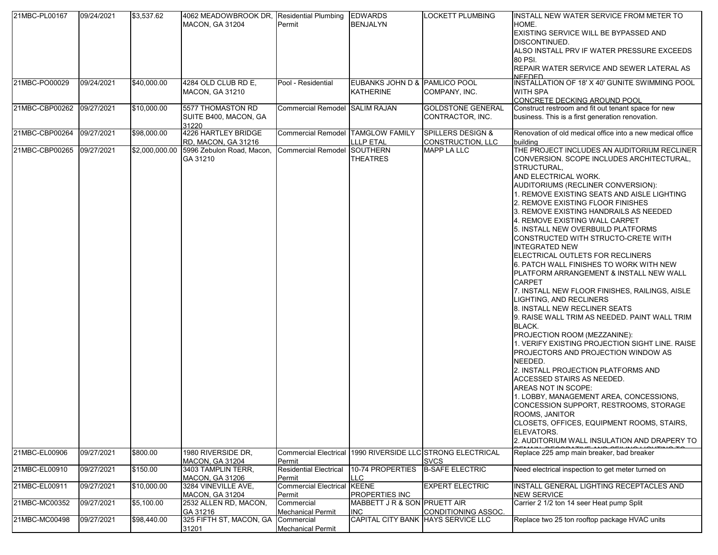| 21MBC-PL00167             | 09/24/2021 | \$3,537.62     | 4062 MEADOWBROOK DR, Residential Plumbing<br><b>MACON, GA 31204</b> | Permit                                  | <b>EDWARDS</b><br>BENJALYN                        | <b>LOCKETT PLUMBING</b>                                  | INSTALL NEW WATER SERVICE FROM METER TO<br>HOME.<br>EXISTING SERVICE WILL BE BYPASSED AND<br>DISCONTINUED.<br>ALSO INSTALL PRV IF WATER PRESSURE EXCEEDS<br>80 PSI.<br>REPAIR WATER SERVICE AND SEWER LATERAL AS<br>NEEDED                                                                                                                                                                                                                                                                                                                                                                                                                                                                                                                                                                                                                                                                                                                                                                                                                                                                                                                                                                                          |
|---------------------------|------------|----------------|---------------------------------------------------------------------|-----------------------------------------|---------------------------------------------------|----------------------------------------------------------|---------------------------------------------------------------------------------------------------------------------------------------------------------------------------------------------------------------------------------------------------------------------------------------------------------------------------------------------------------------------------------------------------------------------------------------------------------------------------------------------------------------------------------------------------------------------------------------------------------------------------------------------------------------------------------------------------------------------------------------------------------------------------------------------------------------------------------------------------------------------------------------------------------------------------------------------------------------------------------------------------------------------------------------------------------------------------------------------------------------------------------------------------------------------------------------------------------------------|
| 21MBC-PO00029             | 09/24/2021 | \$40,000.00    | 4284 OLD CLUB RD E.<br><b>MACON, GA 31210</b>                       | Pool - Residential                      | EUBANKS JOHN D & PAMLICO POOL<br><b>KATHERINE</b> | COMPANY, INC.                                            | INSTALLATION OF 18' X 40' GUNITE SWIMMING POOL<br><b>WITH SPA</b><br>CONCRETE DECKING AROUND POOL                                                                                                                                                                                                                                                                                                                                                                                                                                                                                                                                                                                                                                                                                                                                                                                                                                                                                                                                                                                                                                                                                                                   |
| 21MBC-CBP00262 09/27/2021 |            | \$10,000.00    | 5577 THOMASTON RD<br>SUITE B400, MACON, GA<br>31220                 | Commercial Remodel SALIM RAJAN          |                                                   | <b>GOLDSTONE GENERAL</b><br>CONTRACTOR, INC.             | Construct restroom and fit out tenant space for new<br>business. This is a first generation renovation.                                                                                                                                                                                                                                                                                                                                                                                                                                                                                                                                                                                                                                                                                                                                                                                                                                                                                                                                                                                                                                                                                                             |
| 21MBC-CBP00264            | 09/27/2021 | \$98,000.00    | 4226 HARTLEY BRIDGE<br>RD, MACON, GA 31216                          | <b>Commercial Remodel</b>               | <b>TAMGLOW FAMILY</b><br>LLLP ETAL                | <b>SPILLERS DESIGN &amp;</b><br><b>CONSTRUCTION, LLC</b> | Renovation of old medical office into a new medical office<br>building                                                                                                                                                                                                                                                                                                                                                                                                                                                                                                                                                                                                                                                                                                                                                                                                                                                                                                                                                                                                                                                                                                                                              |
| 21MBC-CBP00265            | 09/27/2021 | \$2,000,000.00 | 5996 Zebulon Road, Macon,<br>GA 31210                               | <b>Commercial Remodel</b>               | <b>SOUTHERN</b><br>THEATRES                       | <b>MAPP LA LLC</b>                                       | THE PROJECT INCLUDES AN AUDITORIUM RECLINER<br>CONVERSION. SCOPE INCLUDES ARCHITECTURAL,<br>STRUCTURAL,<br>AND ELECTRICAL WORK.<br>AUDITORIUMS (RECLINER CONVERSION):<br>1. REMOVE EXISTING SEATS AND AISLE LIGHTING<br>2. REMOVE EXISTING FLOOR FINISHES<br>3. REMOVE EXISTING HANDRAILS AS NEEDED<br>4. REMOVE EXISTING WALL CARPET<br>5. INSTALL NEW OVERBUILD PLATFORMS<br>CONSTRUCTED WITH STRUCTO-CRETE WITH<br><b>INTEGRATED NEW</b><br>ELECTRICAL OUTLETS FOR RECLINERS<br>6. PATCH WALL FINISHES TO WORK WITH NEW<br>PLATFORM ARRANGEMENT & INSTALL NEW WALL<br><b>CARPET</b><br>7. INSTALL NEW FLOOR FINISHES, RAILINGS, AISLE<br>LIGHTING, AND RECLINERS<br>8. INSTALL NEW RECLINER SEATS<br>9. RAISE WALL TRIM AS NEEDED. PAINT WALL TRIM<br>BLACK.<br>PROJECTION ROOM (MEZZANINE):<br>1. VERIFY EXISTING PROJECTION SIGHT LINE. RAISE<br>PROJECTORS AND PROJECTION WINDOW AS<br>NEEDED.<br>2. INSTALL PROJECTION PLATFORMS AND<br>ACCESSED STAIRS AS NEEDED.<br>AREAS NOT IN SCOPE:<br>1. LOBBY, MANAGEMENT AREA, CONCESSIONS,<br>CONCESSION SUPPORT, RESTROOMS, STORAGE<br>ROOMS, JANITOR<br>CLOSETS, OFFICES, EQUIPMENT ROOMS, STAIRS,<br>ELEVATORS.<br>2. AUDITORIUM WALL INSULATION AND DRAPERY TO |
| 21MBC-EL00906             | 09/27/2021 | \$800.00       | 1980 RIVERSIDE DR,<br><b>MACON, GA 31204</b>                        | <b>Commercial Electrical</b><br>Permit  |                                                   | 1990 RIVERSIDE LLC STRONG ELECTRICAL<br><b>SVCS</b>      | Replace 225 amp main breaker, bad breaker                                                                                                                                                                                                                                                                                                                                                                                                                                                                                                                                                                                                                                                                                                                                                                                                                                                                                                                                                                                                                                                                                                                                                                           |
| 21MBC-EL00910             | 09/27/2021 | \$150.00       | 3403 TAMPLIN TERR,<br><b>MACON, GA 31206</b>                        | <b>Residential Electrical</b><br>Permit | 10-74 PROPERTIES<br>LLC.                          | <b>B-SAFE ELECTRIC</b>                                   | Need electrical inspection to get meter turned on                                                                                                                                                                                                                                                                                                                                                                                                                                                                                                                                                                                                                                                                                                                                                                                                                                                                                                                                                                                                                                                                                                                                                                   |
| 21MBC-EL00911             | 09/27/2021 | \$10,000.00    | 3284 VINEVILLE AVE,<br><b>MACON, GA 31204</b>                       | <b>Commercial Electrical</b><br>Permit  | <b>KEENE</b><br>PROPERTIES INC                    | <b>EXPERT ELECTRIC</b>                                   | INSTALL GENERAL LIGHTING RECEPTACLES AND<br>NEW SERVICE                                                                                                                                                                                                                                                                                                                                                                                                                                                                                                                                                                                                                                                                                                                                                                                                                                                                                                                                                                                                                                                                                                                                                             |
| 21MBC-MC00352             | 09/27/2021 | \$5,100.00     | 2532 ALLEN RD, MACON,<br>GA 31216                                   | Commercial<br><b>Mechanical Permit</b>  | MABBETT J R & SON PRUETT AIR<br><b>INC</b>        | CONDITIONING ASSOC.                                      | Carrier 2 1/2 ton 14 seer Heat pump Split                                                                                                                                                                                                                                                                                                                                                                                                                                                                                                                                                                                                                                                                                                                                                                                                                                                                                                                                                                                                                                                                                                                                                                           |
| 21MBC-MC00498             | 09/27/2021 | \$98,440.00    | 325 FIFTH ST, MACON, GA<br>31201                                    | Commercial<br><b>Mechanical Permit</b>  | CAPITAL CITY BANK HAYS SERVICE LLC                |                                                          | Replace two 25 ton rooftop package HVAC units                                                                                                                                                                                                                                                                                                                                                                                                                                                                                                                                                                                                                                                                                                                                                                                                                                                                                                                                                                                                                                                                                                                                                                       |